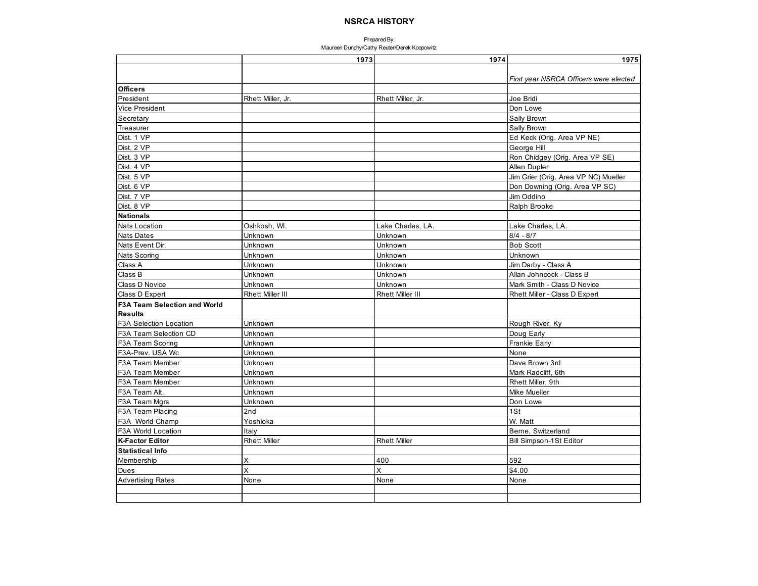|                                     | 1973                    | 1974                    | 1975                                   |
|-------------------------------------|-------------------------|-------------------------|----------------------------------------|
|                                     |                         |                         |                                        |
|                                     |                         |                         | First year NSRCA Officers were elected |
| <b>Officers</b>                     |                         |                         |                                        |
| President                           | Rhett Miller, Jr.       | Rhett Miller, Jr.       | Joe Bridi                              |
| Vice President                      |                         |                         | Don Lowe                               |
| Secretary                           |                         |                         | Sally Brown                            |
| Treasurer                           |                         |                         | Sally Brown                            |
| Dist. 1 VP                          |                         |                         | Ed Keck (Orig. Area VP NE)             |
| Dist. 2 VP                          |                         |                         | George Hill                            |
| Dist. 3 VP                          |                         |                         | Ron Chidgey (Orig. Area VP SE)         |
| Dist. 4 VP                          |                         |                         | Allen Dupler                           |
| Dist. 5 VP                          |                         |                         | Jim Grier (Orig. Area VP NC) Mueller   |
| Dist. 6 VP                          |                         |                         | Don Downing (Orig. Area VP SC)         |
| Dist. 7 VP                          |                         |                         | Jim Oddino                             |
| Dist. 8 VP                          |                         |                         | Ralph Brooke                           |
| <b>Nationals</b>                    |                         |                         |                                        |
| <b>Nats Location</b>                | Oshkosh, WI.            | Lake Charles, LA.       | Lake Charles, LA.                      |
| <b>Nats Dates</b>                   | Unknown                 | Unknown                 | $8/4 - 8/7$                            |
| Nats Event Dir.                     | Unknown                 | Unknown                 | <b>Bob Scott</b>                       |
| Nats Scoring                        | Unknown                 | Unknown                 | Unknown                                |
| Class A                             | Unknown                 | Unknown                 | Jim Darby - Class A                    |
| Class B                             | Unknown                 | Unknown                 | Allan Johncock - Class B               |
| Class D Novice                      | Unknown                 | Unknown                 | Mark Smith - Class D Novice            |
| Class D Expert                      | <b>Rhett Miller III</b> | <b>Rhett Miller III</b> | Rhett Miller - Class D Expert          |
| <b>F3A Team Selection and World</b> |                         |                         |                                        |
| <b>Results</b>                      |                         |                         |                                        |
| <b>F3A Selection Location</b>       | Unknown                 |                         | Rough River, Ky                        |
| F3A Team Selection CD               | Unknown                 |                         | Doug Early                             |
| F3A Team Scoring                    | Unknown                 |                         | Frankie Early                          |
| F3A-Prev. USA Wc                    | Unknown                 |                         | None                                   |
| F3A Team Member                     | Unknown                 |                         | Dave Brown 3rd                         |
| F3A Team Member                     | Unknown                 |                         | Mark Radcliff, 6th                     |
| F3A Team Member                     | Unknown                 |                         | Rhett Miller, 9th                      |
| F3A Team Alt.                       | Unknown                 |                         | <b>Mike Mueller</b>                    |
| F3A Team Mgrs                       | Unknown                 |                         | Don Lowe                               |
| F3A Team Placing                    | 2nd                     |                         | 1St                                    |
| F3A World Champ                     | Yoshioka                |                         | W. Matt                                |
| F3A World Location                  | Italy                   |                         | Berne, Switzerland                     |
| <b>K-Factor Editor</b>              | <b>Rhett Miller</b>     | <b>Rhett Miller</b>     | Bill Simpson-1St Editor                |
| <b>Statistical Info</b>             |                         |                         |                                        |
| Membership                          | X                       | 400                     | 592                                    |
| Dues                                | X                       | $\times$                | \$4.00                                 |
| <b>Advertising Rates</b>            | None                    | None                    | None                                   |
|                                     |                         |                         |                                        |
|                                     |                         |                         |                                        |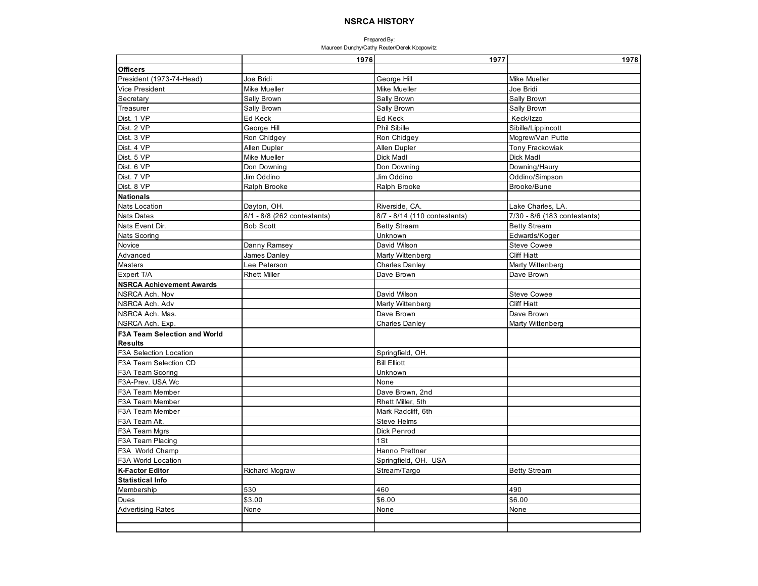|                                     | 1976                        | 1977                         | 1978                         |
|-------------------------------------|-----------------------------|------------------------------|------------------------------|
| <b>Officers</b>                     |                             |                              |                              |
| President (1973-74-Head)            | Joe Bridi                   | George Hill                  | Mike Mueller                 |
| Vice President                      | Mike Mueller                | Mike Mueller                 | Joe Bridi                    |
| Secretary                           | Sally Brown                 | Sally Brown                  | Sally Brown                  |
| Treasurer                           | Sally Brown                 | Sally Brown                  | Sally Brown                  |
| Dist. 1 VP                          | Ed Keck                     | Ed Keck                      | Keck/Izzo                    |
| Dist. 2 VP                          | George Hill                 | <b>Phil Sibille</b>          | Sibille/Lippincott           |
| Dist. 3 VP                          | Ron Chidgey                 | Ron Chidgey                  | Mcgrew/Van Putte             |
| Dist. 4 VP                          | Allen Dupler                | Allen Dupler                 | <b>Tony Frackowiak</b>       |
| Dist. 5 VP                          | Mike Mueller                | Dick Madl                    | Dick Madl                    |
| Dist. 6 VP                          | Don Downing                 | Don Downing                  | Downing/Haury                |
| Dist. 7 VP                          | Jim Oddino                  | Jim Oddino                   | Oddino/Simpson               |
| Dist. 8 VP                          | Ralph Brooke                | Ralph Brooke                 | Brooke/Bune                  |
| <b>Nationals</b>                    |                             |                              |                              |
| Nats Location                       | Dayton, OH.                 | Riverside, CA.               | Lake Charles, LA.            |
| <b>Nats Dates</b>                   | 8/1 - 8/8 (262 contestants) | 8/7 - 8/14 (110 contestants) | 7/30 - 8/6 (183 contestants) |
| Nats Event Dir.                     | <b>Bob Scott</b>            | <b>Betty Stream</b>          | <b>Betty Stream</b>          |
| Nats Scoring                        |                             | Unknown                      | Edwards/Koger                |
| Novice                              | Danny Ramsey                | David Wilson                 | <b>Steve Cowee</b>           |
| Advanced                            | James Danley                | Marty Wittenberg             | <b>Cliff Hiatt</b>           |
| Masters                             | Lee Peterson                | <b>Charles Danley</b>        | Marty Wittenberg             |
| Expert T/A                          | <b>Rhett Miller</b>         | Dave Brown                   | Dave Brown                   |
| <b>NSRCA Achievement Awards</b>     |                             |                              |                              |
| NSRCA Ach. Nov                      |                             | David Wilson                 | <b>Steve Cowee</b>           |
| NSRCA Ach. Adv                      |                             | Marty Wittenberg             | <b>Cliff Hiatt</b>           |
| NSRCA Ach. Mas.                     |                             | Dave Brown                   | Dave Brown                   |
| NSRCA Ach. Exp.                     |                             | <b>Charles Danley</b>        | Marty Wittenberg             |
| <b>F3A Team Selection and World</b> |                             |                              |                              |
| <b>Results</b>                      |                             |                              |                              |
| F3A Selection Location              |                             | Springfield, OH.             |                              |
| F3A Team Selection CD               |                             | <b>Bill Elliott</b>          |                              |
| F3A Team Scoring                    |                             | Unknown                      |                              |
| F3A-Prev. USA Wc                    |                             | None                         |                              |
| F3A Team Member                     |                             | Dave Brown, 2nd              |                              |
| F3A Team Member                     |                             | Rhett Miller. 5th            |                              |
| F3A Team Member                     |                             | Mark Radcliff, 6th           |                              |
| F3A Team Alt.                       |                             | <b>Steve Helms</b>           |                              |
| F3A Team Mgrs                       |                             | Dick Penrod                  |                              |
| F3A Team Placing                    |                             | 1St                          |                              |
| F3A World Champ                     |                             | Hanno Prettner               |                              |
| F3A World Location                  |                             | Springfield, OH. USA         |                              |
| <b>K-Factor Editor</b>              | <b>Richard Mcgraw</b>       | Stream/Targo                 | <b>Betty Stream</b>          |
| <b>Statistical Info</b>             |                             |                              |                              |
| Membership                          | 530                         | 460                          | 490                          |
| Dues                                | \$3.00                      | \$6.00                       | \$6.00                       |
| <b>Advertising Rates</b>            | None                        | None                         | None                         |
|                                     |                             |                              |                              |
|                                     |                             |                              |                              |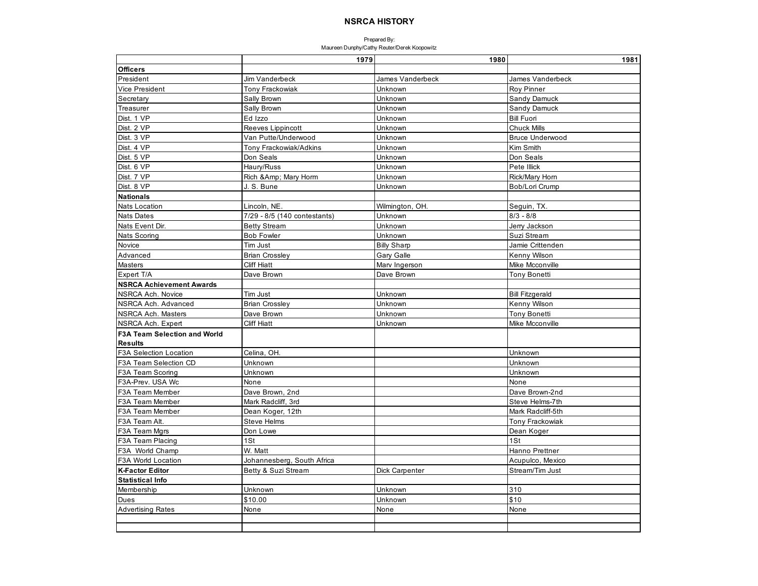|                                     | 1979                          | 1980               | 1981                   |
|-------------------------------------|-------------------------------|--------------------|------------------------|
| Officers                            |                               |                    |                        |
| President                           | <b>Jim Vanderbeck</b>         | James Vanderbeck   | James Vanderbeck       |
| Vice President                      | <b>Tony Frackowiak</b>        | Unknown            | Roy Pinner             |
| Secretary                           | Sally Brown                   | Unknown            | Sandy Damuck           |
| Treasurer                           | Sally Brown                   | Unknown            | Sandy Damuck           |
| Dist. 1 VP                          | Ed Izzo                       | Unknown            | <b>Bill Fuori</b>      |
| Dist. 2 VP                          | Reeves Lippincott             | Unknown            | <b>Chuck Mills</b>     |
| Dist. 3 VP                          | Van Putte/Underwood           | Unknown            | <b>Bruce Underwood</b> |
| Dist. 4 VP                          | <b>Tony Frackowiak/Adkins</b> | Unknown            | Kim Smith              |
| Dist. 5 VP                          | Don Seals                     | Unknown            | Don Seals              |
| Dist. 6 VP                          | Haury/Russ                    | Unknown            | Pete Illick            |
| Dist. 7 VP                          | Rich & Amp; Mary Horm         | Unknown            | Rick/Mary Horn         |
| Dist. 8 VP                          | J. S. Bune                    | Unknown            | Bob/Lori Crump         |
| <b>Nationals</b>                    |                               |                    |                        |
| <b>Nats Location</b>                | Lincoln, NE.                  | Wilmington, OH.    | Seguin, TX.            |
| <b>Nats Dates</b>                   | 7/29 - 8/5 (140 contestants)  | Unknown            | $8/3 - 8/8$            |
| Nats Event Dir.                     | <b>Betty Stream</b>           | Unknown            | Jerry Jackson          |
| Nats Scoring                        | <b>Bob Fowler</b>             | Unknown            | Suzi Stream            |
| Novice                              | Tim Just                      | <b>Billy Sharp</b> | Jamie Crittenden       |
| Advanced                            | <b>Brian Crossley</b>         | <b>Gary Galle</b>  | Kenny Wilson           |
| <b>Masters</b>                      | <b>Cliff Hiatt</b>            | Marv Ingerson      | Mike Mcconville        |
| Expert T/A                          | Dave Brown                    | Dave Brown         | <b>Tony Bonetti</b>    |
| <b>NSRCA Achievement Awards</b>     |                               |                    |                        |
| NSRCA Ach. Novice                   | Tim Just                      | Unknown            | <b>Bill Fitzgerald</b> |
| NSRCA Ach. Advanced                 | <b>Brian Crossley</b>         | Unknown            | Kenny Wilson           |
| NSRCA Ach. Masters                  | Dave Brown                    | Unknown            | <b>Tony Bonetti</b>    |
| NSRCA Ach. Expert                   | <b>Cliff Hiatt</b>            | Unknown            | Mike Mcconville        |
| <b>F3A Team Selection and World</b> |                               |                    |                        |
| <b>Results</b>                      |                               |                    |                        |
| F3A Selection Location              | Celina, OH.                   |                    | Unknown                |
| F3A Team Selection CD               | Unknown                       |                    | Unknown                |
| F3A Team Scoring                    | Unknown                       |                    | Unknown                |
| F3A-Prev. USA Wc                    | None                          |                    | None                   |
| F3A Team Member                     | Dave Brown, 2nd               |                    | Dave Brown-2nd         |
| F3A Team Member                     | Mark Radcliff, 3rd            |                    | Steve Helms-7th        |
| F3A Team Member                     | Dean Koger, 12th              |                    | Mark Radcliff-5th      |
| F3A Team Alt.                       | <b>Steve Helms</b>            |                    | Tony Frackowiak        |
| F3A Team Mgrs                       | Don Lowe                      |                    | Dean Koger             |
| F3A Team Placing                    | 1St                           |                    | 1St                    |
| F3A World Champ                     | W. Matt                       |                    | Hanno Prettner         |
| F3A World Location                  | Johannesberg, South Africa    |                    | Acupulco, Mexico       |
| <b>K-Factor Editor</b>              | Betty & Suzi Stream           | Dick Carpenter     | Stream/Tim Just        |
| <b>Statistical Info</b>             |                               |                    |                        |
| Membership                          | Unknown                       | Unknown            | 310                    |
| Dues                                | \$10.00                       | Unknown            | \$10                   |
| <b>Advertising Rates</b>            | None                          | None               | None                   |
|                                     |                               |                    |                        |
|                                     |                               |                    |                        |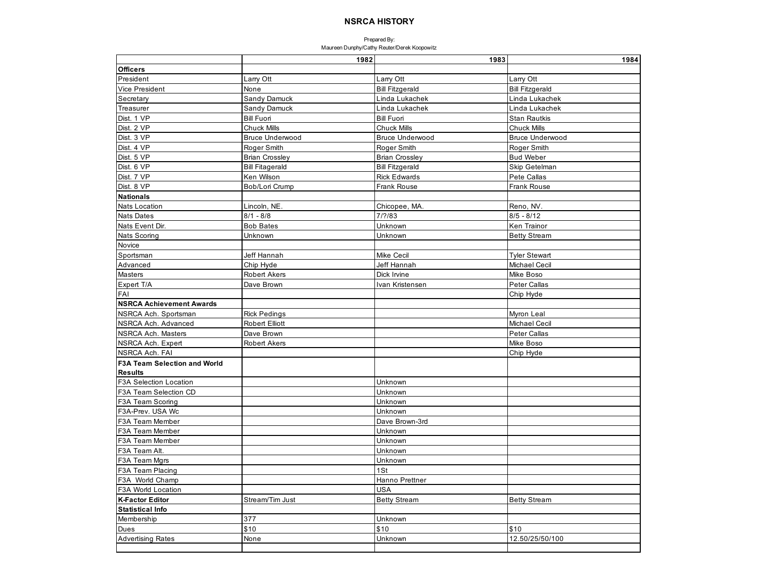| <b>Officers</b><br>Larry Ott<br>Larry Ott<br>Larry Ott<br>Vice President<br>None<br><b>Bill Fitzgerald</b><br><b>Bill Fitzgerald</b><br>Sandy Damuck<br>Secretary<br>Linda Lukachek<br>Linda Lukachek<br>Treasurer<br><b>Sandy Damuck</b><br>Linda Lukachek<br>Linda Lukachek<br>Dist. 1 VP<br><b>Bill Fuori</b><br><b>Bill Fuori</b><br><b>Stan Rautkis</b><br>Dist. 2 VP<br><b>Chuck Mills</b><br><b>Chuck Mills</b><br><b>Chuck Mills</b><br>Dist. 3 VP<br><b>Bruce Underwood</b><br><b>Bruce Underwood</b><br><b>Bruce Underwood</b><br>Dist. 4 VP<br>Roger Smith<br>Roger Smith<br>Roger Smith<br>Dist. 5 VP<br><b>Brian Crossley</b><br><b>Brian Crossley</b><br><b>Bud Weber</b><br>Dist. 6 VP<br><b>Bill Fitagerald</b><br><b>Bill Fitzgerald</b><br>Skip Getelman<br>Dist. 7 VP<br>Ken Wilson<br><b>Rick Edwards</b><br>Pete Callas<br>Dist. 8 VP<br>Bob/Lori Crump<br>Frank Rouse<br><b>Frank Rouse</b><br><b>Nationals</b><br><b>Nats Location</b><br>Lincoln, NE<br>Chicopee, MA.<br>Reno, NV.<br>$8/1 - 8/8$<br>7/?/83<br>$8/5 - 8/12$<br><b>Nats Dates</b><br>Nats Event Dir.<br><b>Bob Bates</b><br>Unknown<br>Ken Trainor<br>Unknown<br>Nats Scoring<br>Unknown<br><b>Betty Stream</b><br>Novice<br>Sportsman<br>Jeff Hannah<br><b>Mike Cecil</b><br><b>Tyler Stewart</b><br>Advanced<br>Chip Hyde<br>Jeff Hannah<br>Michael Cecil<br>Robert Akers<br>Dick Irvine<br>Mike Boso<br>Masters<br>Expert T/A<br>Peter Callas<br>Dave Brown<br>Ivan Kristensen<br>FAI<br>Chip Hyde<br><b>NSRCA Achievement Awards</b><br>NSRCA Ach. Sportsman<br><b>Rick Pedings</b><br>Myron Leal<br><b>Robert Elliott</b><br>NSRCA Ach. Advanced<br>Michael Cecil<br>NSRCA Ach. Masters<br>Dave Brown<br>Peter Callas<br>NSRCA Ach. Expert<br><b>Robert Akers</b><br>Mike Boso<br>NSRCA Ach. FAI<br>Chip Hyde<br><b>F3A Team Selection and World</b><br><b>Results</b><br>F3A Selection Location<br>Unknown<br>F3A Team Selection CD<br>Unknown<br>Unknown<br>F3A Team Scoring<br>F3A-Prev. USA Wc<br>Unknown<br>F3A Team Member<br>Dave Brown-3rd<br>Unknown<br>F3A Team Member<br>Unknown<br>F3A Team Member<br>F3A Team Alt.<br>Unknown<br>Unknown<br>F3A Team Mgrs<br>1St<br>F3A Team Placing<br>Hanno Prettner<br>F3A World Champ<br>F3A World Location<br><b>USA</b><br><b>K-Factor Editor</b><br>Stream/Tim Just<br><b>Betty Stream</b><br><b>Betty Stream</b><br><b>Statistical Info</b><br>Membership<br>377<br>Unknown<br>\$10<br>\$10<br>Dues<br>\$10 |                          | 1982 | 1983    | 1984            |
|--------------------------------------------------------------------------------------------------------------------------------------------------------------------------------------------------------------------------------------------------------------------------------------------------------------------------------------------------------------------------------------------------------------------------------------------------------------------------------------------------------------------------------------------------------------------------------------------------------------------------------------------------------------------------------------------------------------------------------------------------------------------------------------------------------------------------------------------------------------------------------------------------------------------------------------------------------------------------------------------------------------------------------------------------------------------------------------------------------------------------------------------------------------------------------------------------------------------------------------------------------------------------------------------------------------------------------------------------------------------------------------------------------------------------------------------------------------------------------------------------------------------------------------------------------------------------------------------------------------------------------------------------------------------------------------------------------------------------------------------------------------------------------------------------------------------------------------------------------------------------------------------------------------------------------------------------------------------------------------------------------------------------------------------------------------------------------------------------------------------------------------------------------------------------------------------------------------------------------------------------------------------------------------------------------------------------------------------------------------------------------------------------------------------------------------------------------------|--------------------------|------|---------|-----------------|
|                                                                                                                                                                                                                                                                                                                                                                                                                                                                                                                                                                                                                                                                                                                                                                                                                                                                                                                                                                                                                                                                                                                                                                                                                                                                                                                                                                                                                                                                                                                                                                                                                                                                                                                                                                                                                                                                                                                                                                                                                                                                                                                                                                                                                                                                                                                                                                                                                                                              |                          |      |         |                 |
|                                                                                                                                                                                                                                                                                                                                                                                                                                                                                                                                                                                                                                                                                                                                                                                                                                                                                                                                                                                                                                                                                                                                                                                                                                                                                                                                                                                                                                                                                                                                                                                                                                                                                                                                                                                                                                                                                                                                                                                                                                                                                                                                                                                                                                                                                                                                                                                                                                                              | President                |      |         |                 |
|                                                                                                                                                                                                                                                                                                                                                                                                                                                                                                                                                                                                                                                                                                                                                                                                                                                                                                                                                                                                                                                                                                                                                                                                                                                                                                                                                                                                                                                                                                                                                                                                                                                                                                                                                                                                                                                                                                                                                                                                                                                                                                                                                                                                                                                                                                                                                                                                                                                              |                          |      |         |                 |
|                                                                                                                                                                                                                                                                                                                                                                                                                                                                                                                                                                                                                                                                                                                                                                                                                                                                                                                                                                                                                                                                                                                                                                                                                                                                                                                                                                                                                                                                                                                                                                                                                                                                                                                                                                                                                                                                                                                                                                                                                                                                                                                                                                                                                                                                                                                                                                                                                                                              |                          |      |         |                 |
|                                                                                                                                                                                                                                                                                                                                                                                                                                                                                                                                                                                                                                                                                                                                                                                                                                                                                                                                                                                                                                                                                                                                                                                                                                                                                                                                                                                                                                                                                                                                                                                                                                                                                                                                                                                                                                                                                                                                                                                                                                                                                                                                                                                                                                                                                                                                                                                                                                                              |                          |      |         |                 |
|                                                                                                                                                                                                                                                                                                                                                                                                                                                                                                                                                                                                                                                                                                                                                                                                                                                                                                                                                                                                                                                                                                                                                                                                                                                                                                                                                                                                                                                                                                                                                                                                                                                                                                                                                                                                                                                                                                                                                                                                                                                                                                                                                                                                                                                                                                                                                                                                                                                              |                          |      |         |                 |
|                                                                                                                                                                                                                                                                                                                                                                                                                                                                                                                                                                                                                                                                                                                                                                                                                                                                                                                                                                                                                                                                                                                                                                                                                                                                                                                                                                                                                                                                                                                                                                                                                                                                                                                                                                                                                                                                                                                                                                                                                                                                                                                                                                                                                                                                                                                                                                                                                                                              |                          |      |         |                 |
|                                                                                                                                                                                                                                                                                                                                                                                                                                                                                                                                                                                                                                                                                                                                                                                                                                                                                                                                                                                                                                                                                                                                                                                                                                                                                                                                                                                                                                                                                                                                                                                                                                                                                                                                                                                                                                                                                                                                                                                                                                                                                                                                                                                                                                                                                                                                                                                                                                                              |                          |      |         |                 |
|                                                                                                                                                                                                                                                                                                                                                                                                                                                                                                                                                                                                                                                                                                                                                                                                                                                                                                                                                                                                                                                                                                                                                                                                                                                                                                                                                                                                                                                                                                                                                                                                                                                                                                                                                                                                                                                                                                                                                                                                                                                                                                                                                                                                                                                                                                                                                                                                                                                              |                          |      |         |                 |
|                                                                                                                                                                                                                                                                                                                                                                                                                                                                                                                                                                                                                                                                                                                                                                                                                                                                                                                                                                                                                                                                                                                                                                                                                                                                                                                                                                                                                                                                                                                                                                                                                                                                                                                                                                                                                                                                                                                                                                                                                                                                                                                                                                                                                                                                                                                                                                                                                                                              |                          |      |         |                 |
|                                                                                                                                                                                                                                                                                                                                                                                                                                                                                                                                                                                                                                                                                                                                                                                                                                                                                                                                                                                                                                                                                                                                                                                                                                                                                                                                                                                                                                                                                                                                                                                                                                                                                                                                                                                                                                                                                                                                                                                                                                                                                                                                                                                                                                                                                                                                                                                                                                                              |                          |      |         |                 |
|                                                                                                                                                                                                                                                                                                                                                                                                                                                                                                                                                                                                                                                                                                                                                                                                                                                                                                                                                                                                                                                                                                                                                                                                                                                                                                                                                                                                                                                                                                                                                                                                                                                                                                                                                                                                                                                                                                                                                                                                                                                                                                                                                                                                                                                                                                                                                                                                                                                              |                          |      |         |                 |
|                                                                                                                                                                                                                                                                                                                                                                                                                                                                                                                                                                                                                                                                                                                                                                                                                                                                                                                                                                                                                                                                                                                                                                                                                                                                                                                                                                                                                                                                                                                                                                                                                                                                                                                                                                                                                                                                                                                                                                                                                                                                                                                                                                                                                                                                                                                                                                                                                                                              |                          |      |         |                 |
|                                                                                                                                                                                                                                                                                                                                                                                                                                                                                                                                                                                                                                                                                                                                                                                                                                                                                                                                                                                                                                                                                                                                                                                                                                                                                                                                                                                                                                                                                                                                                                                                                                                                                                                                                                                                                                                                                                                                                                                                                                                                                                                                                                                                                                                                                                                                                                                                                                                              |                          |      |         |                 |
|                                                                                                                                                                                                                                                                                                                                                                                                                                                                                                                                                                                                                                                                                                                                                                                                                                                                                                                                                                                                                                                                                                                                                                                                                                                                                                                                                                                                                                                                                                                                                                                                                                                                                                                                                                                                                                                                                                                                                                                                                                                                                                                                                                                                                                                                                                                                                                                                                                                              |                          |      |         |                 |
|                                                                                                                                                                                                                                                                                                                                                                                                                                                                                                                                                                                                                                                                                                                                                                                                                                                                                                                                                                                                                                                                                                                                                                                                                                                                                                                                                                                                                                                                                                                                                                                                                                                                                                                                                                                                                                                                                                                                                                                                                                                                                                                                                                                                                                                                                                                                                                                                                                                              |                          |      |         |                 |
|                                                                                                                                                                                                                                                                                                                                                                                                                                                                                                                                                                                                                                                                                                                                                                                                                                                                                                                                                                                                                                                                                                                                                                                                                                                                                                                                                                                                                                                                                                                                                                                                                                                                                                                                                                                                                                                                                                                                                                                                                                                                                                                                                                                                                                                                                                                                                                                                                                                              |                          |      |         |                 |
|                                                                                                                                                                                                                                                                                                                                                                                                                                                                                                                                                                                                                                                                                                                                                                                                                                                                                                                                                                                                                                                                                                                                                                                                                                                                                                                                                                                                                                                                                                                                                                                                                                                                                                                                                                                                                                                                                                                                                                                                                                                                                                                                                                                                                                                                                                                                                                                                                                                              |                          |      |         |                 |
|                                                                                                                                                                                                                                                                                                                                                                                                                                                                                                                                                                                                                                                                                                                                                                                                                                                                                                                                                                                                                                                                                                                                                                                                                                                                                                                                                                                                                                                                                                                                                                                                                                                                                                                                                                                                                                                                                                                                                                                                                                                                                                                                                                                                                                                                                                                                                                                                                                                              |                          |      |         |                 |
|                                                                                                                                                                                                                                                                                                                                                                                                                                                                                                                                                                                                                                                                                                                                                                                                                                                                                                                                                                                                                                                                                                                                                                                                                                                                                                                                                                                                                                                                                                                                                                                                                                                                                                                                                                                                                                                                                                                                                                                                                                                                                                                                                                                                                                                                                                                                                                                                                                                              |                          |      |         |                 |
|                                                                                                                                                                                                                                                                                                                                                                                                                                                                                                                                                                                                                                                                                                                                                                                                                                                                                                                                                                                                                                                                                                                                                                                                                                                                                                                                                                                                                                                                                                                                                                                                                                                                                                                                                                                                                                                                                                                                                                                                                                                                                                                                                                                                                                                                                                                                                                                                                                                              |                          |      |         |                 |
|                                                                                                                                                                                                                                                                                                                                                                                                                                                                                                                                                                                                                                                                                                                                                                                                                                                                                                                                                                                                                                                                                                                                                                                                                                                                                                                                                                                                                                                                                                                                                                                                                                                                                                                                                                                                                                                                                                                                                                                                                                                                                                                                                                                                                                                                                                                                                                                                                                                              |                          |      |         |                 |
|                                                                                                                                                                                                                                                                                                                                                                                                                                                                                                                                                                                                                                                                                                                                                                                                                                                                                                                                                                                                                                                                                                                                                                                                                                                                                                                                                                                                                                                                                                                                                                                                                                                                                                                                                                                                                                                                                                                                                                                                                                                                                                                                                                                                                                                                                                                                                                                                                                                              |                          |      |         |                 |
|                                                                                                                                                                                                                                                                                                                                                                                                                                                                                                                                                                                                                                                                                                                                                                                                                                                                                                                                                                                                                                                                                                                                                                                                                                                                                                                                                                                                                                                                                                                                                                                                                                                                                                                                                                                                                                                                                                                                                                                                                                                                                                                                                                                                                                                                                                                                                                                                                                                              |                          |      |         |                 |
|                                                                                                                                                                                                                                                                                                                                                                                                                                                                                                                                                                                                                                                                                                                                                                                                                                                                                                                                                                                                                                                                                                                                                                                                                                                                                                                                                                                                                                                                                                                                                                                                                                                                                                                                                                                                                                                                                                                                                                                                                                                                                                                                                                                                                                                                                                                                                                                                                                                              |                          |      |         |                 |
|                                                                                                                                                                                                                                                                                                                                                                                                                                                                                                                                                                                                                                                                                                                                                                                                                                                                                                                                                                                                                                                                                                                                                                                                                                                                                                                                                                                                                                                                                                                                                                                                                                                                                                                                                                                                                                                                                                                                                                                                                                                                                                                                                                                                                                                                                                                                                                                                                                                              |                          |      |         |                 |
|                                                                                                                                                                                                                                                                                                                                                                                                                                                                                                                                                                                                                                                                                                                                                                                                                                                                                                                                                                                                                                                                                                                                                                                                                                                                                                                                                                                                                                                                                                                                                                                                                                                                                                                                                                                                                                                                                                                                                                                                                                                                                                                                                                                                                                                                                                                                                                                                                                                              |                          |      |         |                 |
|                                                                                                                                                                                                                                                                                                                                                                                                                                                                                                                                                                                                                                                                                                                                                                                                                                                                                                                                                                                                                                                                                                                                                                                                                                                                                                                                                                                                                                                                                                                                                                                                                                                                                                                                                                                                                                                                                                                                                                                                                                                                                                                                                                                                                                                                                                                                                                                                                                                              |                          |      |         |                 |
|                                                                                                                                                                                                                                                                                                                                                                                                                                                                                                                                                                                                                                                                                                                                                                                                                                                                                                                                                                                                                                                                                                                                                                                                                                                                                                                                                                                                                                                                                                                                                                                                                                                                                                                                                                                                                                                                                                                                                                                                                                                                                                                                                                                                                                                                                                                                                                                                                                                              |                          |      |         |                 |
|                                                                                                                                                                                                                                                                                                                                                                                                                                                                                                                                                                                                                                                                                                                                                                                                                                                                                                                                                                                                                                                                                                                                                                                                                                                                                                                                                                                                                                                                                                                                                                                                                                                                                                                                                                                                                                                                                                                                                                                                                                                                                                                                                                                                                                                                                                                                                                                                                                                              |                          |      |         |                 |
|                                                                                                                                                                                                                                                                                                                                                                                                                                                                                                                                                                                                                                                                                                                                                                                                                                                                                                                                                                                                                                                                                                                                                                                                                                                                                                                                                                                                                                                                                                                                                                                                                                                                                                                                                                                                                                                                                                                                                                                                                                                                                                                                                                                                                                                                                                                                                                                                                                                              |                          |      |         |                 |
|                                                                                                                                                                                                                                                                                                                                                                                                                                                                                                                                                                                                                                                                                                                                                                                                                                                                                                                                                                                                                                                                                                                                                                                                                                                                                                                                                                                                                                                                                                                                                                                                                                                                                                                                                                                                                                                                                                                                                                                                                                                                                                                                                                                                                                                                                                                                                                                                                                                              |                          |      |         |                 |
|                                                                                                                                                                                                                                                                                                                                                                                                                                                                                                                                                                                                                                                                                                                                                                                                                                                                                                                                                                                                                                                                                                                                                                                                                                                                                                                                                                                                                                                                                                                                                                                                                                                                                                                                                                                                                                                                                                                                                                                                                                                                                                                                                                                                                                                                                                                                                                                                                                                              |                          |      |         |                 |
|                                                                                                                                                                                                                                                                                                                                                                                                                                                                                                                                                                                                                                                                                                                                                                                                                                                                                                                                                                                                                                                                                                                                                                                                                                                                                                                                                                                                                                                                                                                                                                                                                                                                                                                                                                                                                                                                                                                                                                                                                                                                                                                                                                                                                                                                                                                                                                                                                                                              |                          |      |         |                 |
|                                                                                                                                                                                                                                                                                                                                                                                                                                                                                                                                                                                                                                                                                                                                                                                                                                                                                                                                                                                                                                                                                                                                                                                                                                                                                                                                                                                                                                                                                                                                                                                                                                                                                                                                                                                                                                                                                                                                                                                                                                                                                                                                                                                                                                                                                                                                                                                                                                                              |                          |      |         |                 |
|                                                                                                                                                                                                                                                                                                                                                                                                                                                                                                                                                                                                                                                                                                                                                                                                                                                                                                                                                                                                                                                                                                                                                                                                                                                                                                                                                                                                                                                                                                                                                                                                                                                                                                                                                                                                                                                                                                                                                                                                                                                                                                                                                                                                                                                                                                                                                                                                                                                              |                          |      |         |                 |
|                                                                                                                                                                                                                                                                                                                                                                                                                                                                                                                                                                                                                                                                                                                                                                                                                                                                                                                                                                                                                                                                                                                                                                                                                                                                                                                                                                                                                                                                                                                                                                                                                                                                                                                                                                                                                                                                                                                                                                                                                                                                                                                                                                                                                                                                                                                                                                                                                                                              |                          |      |         |                 |
|                                                                                                                                                                                                                                                                                                                                                                                                                                                                                                                                                                                                                                                                                                                                                                                                                                                                                                                                                                                                                                                                                                                                                                                                                                                                                                                                                                                                                                                                                                                                                                                                                                                                                                                                                                                                                                                                                                                                                                                                                                                                                                                                                                                                                                                                                                                                                                                                                                                              |                          |      |         |                 |
|                                                                                                                                                                                                                                                                                                                                                                                                                                                                                                                                                                                                                                                                                                                                                                                                                                                                                                                                                                                                                                                                                                                                                                                                                                                                                                                                                                                                                                                                                                                                                                                                                                                                                                                                                                                                                                                                                                                                                                                                                                                                                                                                                                                                                                                                                                                                                                                                                                                              |                          |      |         |                 |
|                                                                                                                                                                                                                                                                                                                                                                                                                                                                                                                                                                                                                                                                                                                                                                                                                                                                                                                                                                                                                                                                                                                                                                                                                                                                                                                                                                                                                                                                                                                                                                                                                                                                                                                                                                                                                                                                                                                                                                                                                                                                                                                                                                                                                                                                                                                                                                                                                                                              |                          |      |         |                 |
|                                                                                                                                                                                                                                                                                                                                                                                                                                                                                                                                                                                                                                                                                                                                                                                                                                                                                                                                                                                                                                                                                                                                                                                                                                                                                                                                                                                                                                                                                                                                                                                                                                                                                                                                                                                                                                                                                                                                                                                                                                                                                                                                                                                                                                                                                                                                                                                                                                                              |                          |      |         |                 |
|                                                                                                                                                                                                                                                                                                                                                                                                                                                                                                                                                                                                                                                                                                                                                                                                                                                                                                                                                                                                                                                                                                                                                                                                                                                                                                                                                                                                                                                                                                                                                                                                                                                                                                                                                                                                                                                                                                                                                                                                                                                                                                                                                                                                                                                                                                                                                                                                                                                              |                          |      |         |                 |
|                                                                                                                                                                                                                                                                                                                                                                                                                                                                                                                                                                                                                                                                                                                                                                                                                                                                                                                                                                                                                                                                                                                                                                                                                                                                                                                                                                                                                                                                                                                                                                                                                                                                                                                                                                                                                                                                                                                                                                                                                                                                                                                                                                                                                                                                                                                                                                                                                                                              |                          |      |         |                 |
|                                                                                                                                                                                                                                                                                                                                                                                                                                                                                                                                                                                                                                                                                                                                                                                                                                                                                                                                                                                                                                                                                                                                                                                                                                                                                                                                                                                                                                                                                                                                                                                                                                                                                                                                                                                                                                                                                                                                                                                                                                                                                                                                                                                                                                                                                                                                                                                                                                                              |                          |      |         |                 |
|                                                                                                                                                                                                                                                                                                                                                                                                                                                                                                                                                                                                                                                                                                                                                                                                                                                                                                                                                                                                                                                                                                                                                                                                                                                                                                                                                                                                                                                                                                                                                                                                                                                                                                                                                                                                                                                                                                                                                                                                                                                                                                                                                                                                                                                                                                                                                                                                                                                              |                          |      |         |                 |
|                                                                                                                                                                                                                                                                                                                                                                                                                                                                                                                                                                                                                                                                                                                                                                                                                                                                                                                                                                                                                                                                                                                                                                                                                                                                                                                                                                                                                                                                                                                                                                                                                                                                                                                                                                                                                                                                                                                                                                                                                                                                                                                                                                                                                                                                                                                                                                                                                                                              |                          |      |         |                 |
|                                                                                                                                                                                                                                                                                                                                                                                                                                                                                                                                                                                                                                                                                                                                                                                                                                                                                                                                                                                                                                                                                                                                                                                                                                                                                                                                                                                                                                                                                                                                                                                                                                                                                                                                                                                                                                                                                                                                                                                                                                                                                                                                                                                                                                                                                                                                                                                                                                                              |                          |      |         |                 |
|                                                                                                                                                                                                                                                                                                                                                                                                                                                                                                                                                                                                                                                                                                                                                                                                                                                                                                                                                                                                                                                                                                                                                                                                                                                                                                                                                                                                                                                                                                                                                                                                                                                                                                                                                                                                                                                                                                                                                                                                                                                                                                                                                                                                                                                                                                                                                                                                                                                              |                          |      |         |                 |
|                                                                                                                                                                                                                                                                                                                                                                                                                                                                                                                                                                                                                                                                                                                                                                                                                                                                                                                                                                                                                                                                                                                                                                                                                                                                                                                                                                                                                                                                                                                                                                                                                                                                                                                                                                                                                                                                                                                                                                                                                                                                                                                                                                                                                                                                                                                                                                                                                                                              | <b>Advertising Rates</b> | None | Unknown | 12.50/25/50/100 |
|                                                                                                                                                                                                                                                                                                                                                                                                                                                                                                                                                                                                                                                                                                                                                                                                                                                                                                                                                                                                                                                                                                                                                                                                                                                                                                                                                                                                                                                                                                                                                                                                                                                                                                                                                                                                                                                                                                                                                                                                                                                                                                                                                                                                                                                                                                                                                                                                                                                              |                          |      |         |                 |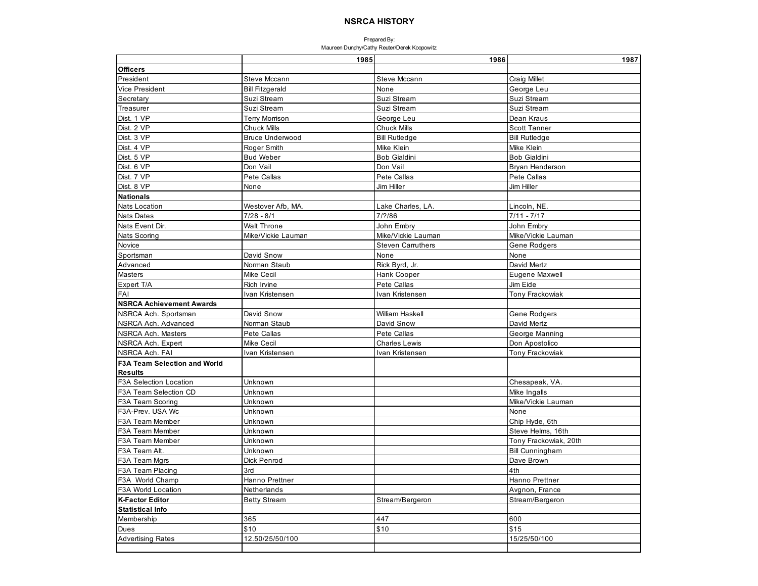|                                     | 1985                   | 1986                     | 1987                   |
|-------------------------------------|------------------------|--------------------------|------------------------|
| <b>Officers</b>                     |                        |                          |                        |
| President                           | Steve Mccann           | Steve Mccann             | <b>Craig Millet</b>    |
| Vice President                      | <b>Bill Fitzgerald</b> | None                     | George Leu             |
| Secretary                           | Suzi Stream            | Suzi Stream              | Suzi Stream            |
| Treasurer                           | Suzi Stream            | Suzi Stream              | Suzi Stream            |
| Dist. 1 VP                          | <b>Terry Morrison</b>  | George Leu               | Dean Kraus             |
| Dist. 2 VP                          | <b>Chuck Mills</b>     | <b>Chuck Mills</b>       | <b>Scott Tanner</b>    |
| Dist. 3 VP                          | <b>Bruce Underwood</b> | <b>Bill Rutledge</b>     | <b>Bill Rutledge</b>   |
| Dist. 4 VP                          | Roger Smith            | Mike Klein               | Mike Klein             |
| Dist. 5 VP                          | <b>Bud Weber</b>       | <b>Bob Gialdini</b>      | <b>Bob Gialdini</b>    |
| Dist. 6 VP                          | Don Vail               | Don Vail                 | <b>Bryan Henderson</b> |
| Dist. 7 VP                          | Pete Callas            | Pete Callas              | Pete Callas            |
| Dist. 8 VP                          | None                   | Jim Hiller               | Jim Hiller             |
| <b>Nationals</b>                    |                        |                          |                        |
| Nats Location                       | Westover Afb, MA.      | Lake Charles, LA.        | Lincoln, NE            |
| <b>Nats Dates</b>                   | $7/28 - 8/1$           | 7/?/86                   | $7/11 - 7/17$          |
| Nats Event Dir.                     | <b>Walt Throne</b>     | John Embry               | John Embry             |
| <b>Nats Scoring</b>                 | Mike/Vickie Lauman     | Mike/Vickie Lauman       | Mike/Vickie Lauman     |
| Novice                              |                        | <b>Steven Carruthers</b> | Gene Rodgers           |
| Sportsman                           | David Snow             | None                     | None                   |
| Advanced                            | Norman Staub           | Rick Byrd, Jr.           | David Mertz            |
| Masters                             | Mike Cecil             | Hank Cooper              | Eugene Maxwell         |
| Expert T/A                          | Rich Irvine            | Pete Callas              | Jim Eide               |
| FAI                                 | Ivan Kristensen        | Ivan Kristensen          | Tony Frackowiak        |
| <b>NSRCA Achievement Awards</b>     |                        |                          |                        |
| NSRCA Ach. Sportsman                | David Snow             | William Haskell          | Gene Rodgers           |
| NSRCA Ach. Advanced                 | Norman Staub           | David Snow               | David Mertz            |
| NSRCA Ach. Masters                  | Pete Callas            | Pete Callas              | George Manning         |
| NSRCA Ach. Expert                   | <b>Mike Cecil</b>      | <b>Charles Lewis</b>     | Don Apostolico         |
| NSRCA Ach. FAI                      | Ivan Kristensen        | Ivan Kristensen          | Tony Frackowiak        |
| <b>F3A Team Selection and World</b> |                        |                          |                        |
| <b>Results</b>                      |                        |                          |                        |
| F3A Selection Location              | Unknown                |                          | Chesapeak, VA.         |
| F3A Team Selection CD               | Unknown                |                          | Mike Ingalls           |
| F3A Team Scoring                    | Unknown                |                          | Mike/Vickie Lauman     |
| F3A-Prev. USA Wc                    | Unknown                |                          | None                   |
| F3A Team Member                     | Unknown                |                          | Chip Hyde, 6th         |
| F3A Team Member                     | Unknown                |                          | Steve Helms, 16th      |
| F3A Team Member                     | Unknown                |                          | Tony Frackowiak, 20th  |
| F3A Team Alt.                       | Unknown                |                          | <b>Bill Cunningham</b> |
| F3A Team Mgrs                       | Dick Penrod            |                          | Dave Brown             |
| F3A Team Placing                    | 3rd                    |                          | 4th                    |
| F3A World Champ                     | Hanno Prettner         |                          | Hanno Prettner         |
| F3A World Location                  | Netherlands            |                          | Avgnon, France         |
| <b>K-Factor Editor</b>              | <b>Betty Stream</b>    | Stream/Bergeron          | Stream/Bergeron        |
| <b>Statistical Info</b>             |                        |                          |                        |
| Membership                          | 365                    | 447                      | 600                    |
| Dues                                | \$10                   | \$10                     | \$15                   |
| <b>Advertising Rates</b>            | 12.50/25/50/100        |                          | 15/25/50/100           |
|                                     |                        |                          |                        |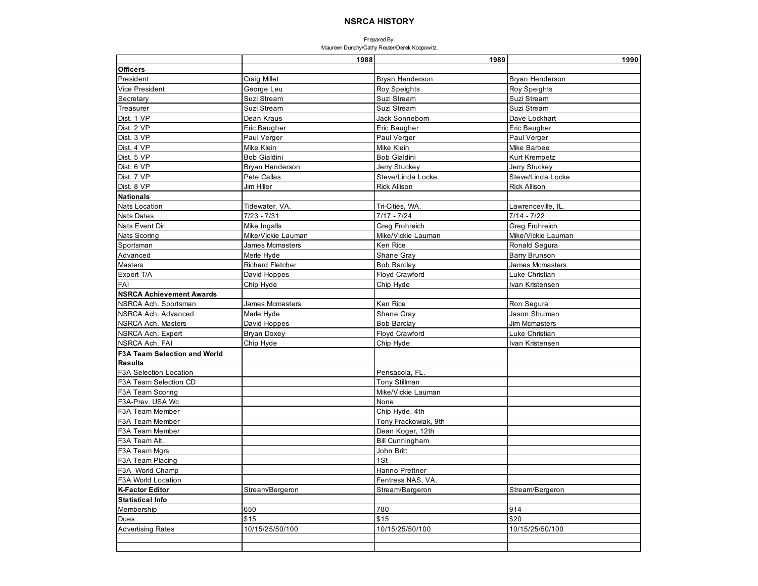|                                     | 1988                    | 1989                   | 1990                   |
|-------------------------------------|-------------------------|------------------------|------------------------|
| <b>Officers</b>                     |                         |                        |                        |
| President                           | <b>Craig Millet</b>     | Bryan Henderson        | Bryan Henderson        |
| Vice President                      | George Leu              | Roy Speights           | <b>Roy Speights</b>    |
| Secretary                           | Suzi Stream             | Suzi Stream            | Suzi Stream            |
| Treasurer                           | Suzi Stream             | Suzi Stream            | Suzi Stream            |
| Dist. 1 VP                          | Dean Kraus              | Jack Sonnebom          | Dave Lockhart          |
| Dist. 2 VP                          | Eric Baugher            | Eric Baugher           | Eric Baugher           |
| Dist. 3 VP                          | Paul Verger             | Paul Verger            | Paul Verger            |
| Dist. 4 VP                          | Mike Klein              | Mike Klein             | Mike Barbee            |
| Dist. 5 VP                          | <b>Bob Gialdini</b>     | <b>Bob Gialdini</b>    | Kurt Krempetz          |
| Dist. 6 VP                          | <b>Bryan Henderson</b>  | Jerry Stuckey          | Jerry Stuckey          |
| Dist. 7 VP                          | Pete Callas             | Steve/Linda Locke      | Steve/Linda Locke      |
| Dist. 8 VP                          | Jim Hiller              | <b>Rick Allison</b>    | <b>Rick Allison</b>    |
| <b>Nationals</b>                    |                         |                        |                        |
| <b>Nats Location</b>                | Tidewater, VA.          | Tri-Cities, WA.        | Lawrenceville, IL.     |
| <b>Nats Dates</b>                   | $7/23 - 7/31$           | $7/17 - 7/24$          | $7/14 - 7/22$          |
| Nats Event Dir.                     | Mike Ingalls            | <b>Greg Frohreich</b>  | Greg Frohreich         |
| Nats Scoring                        | Mike/Vickie Lauman      | Mike/Vickie Lauman     | Mike/Vickie Lauman     |
| Sportsman                           | <b>James Mcmasters</b>  | Ken Rice               | Ronald Segura          |
| Advanced                            | Merle Hyde              | Shane Gray             | Barry Brunson          |
| Masters                             | <b>Richard Fletcher</b> | <b>Bob Barclay</b>     | <b>James Mcmasters</b> |
| Expert T/A                          | David Hoppes            | Floyd Crawford         | Luke Christian         |
| FAI                                 | Chip Hyde               | Chip Hyde              | Ivan Kristensen        |
| <b>NSRCA Achievement Awards</b>     |                         |                        |                        |
| NSRCA Ach. Sportsman                | James Mcmasters         | Ken Rice               | Ron Segura             |
| NSRCA Ach. Advanced                 | Merle Hyde              | Shane Gray             | Jason Shulman          |
| <b>NSRCA Ach. Masters</b>           | David Hoppes            | <b>Bob Barclav</b>     | <b>Jim Mcmasters</b>   |
| NSRCA Ach. Expert                   | <b>Bryan Doxey</b>      | Floyd Crawford         | Luke Christian         |
| NSRCA Ach. FAI                      | Chip Hyde               | Chip Hyde              | Ivan Kristensen        |
| <b>F3A Team Selection and World</b> |                         |                        |                        |
| <b>Results</b>                      |                         |                        |                        |
| F3A Selection Location              |                         | Pensacola, FL.         |                        |
| F3A Team Selection CD               |                         | Tony Stillman          |                        |
| F3A Team Scoring                    |                         | Mike/Vickie Lauman     |                        |
| F3A-Prev. USA Wc                    |                         | None                   |                        |
| F3A Team Member                     |                         | Chip Hyde, 4th         |                        |
| F3A Team Member                     |                         | Tony Frackowiak, 9th   |                        |
| F3A Team Member                     |                         | Dean Koger, 12th       |                        |
| F3A Team Alt.                       |                         | <b>Bill Cunningham</b> |                        |
| F3A Team Mgrs                       |                         | John Britt             |                        |
| F3A Team Placing                    |                         | 1St                    |                        |
| F3A World Champ                     |                         | Hanno Prettner         |                        |
| F3A World Location                  |                         | Fentress NAS, VA.      |                        |
| <b>K-Factor Editor</b>              | Stream/Bergeron         | Stream/Bergeron        | Stream/Bergeron        |
| <b>Statistical Info</b>             |                         |                        |                        |
| Membership                          | 650                     | 780                    | 914                    |
| Dues                                | \$15                    | \$15                   | \$20                   |
| <b>Advertising Rates</b>            | 10/15/25/50/100         | 10/15/25/50/100        | 10/15/25/50/100        |
|                                     |                         |                        |                        |
|                                     |                         |                        |                        |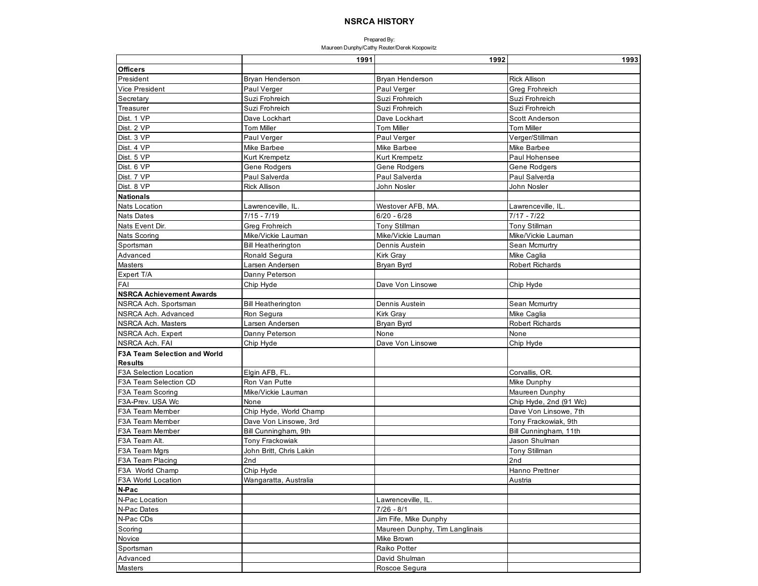|                                     | 1991                      | 1992                           | 1993                   |
|-------------------------------------|---------------------------|--------------------------------|------------------------|
| <b>Officers</b>                     |                           |                                |                        |
| President                           | Bryan Henderson           | Bryan Henderson                | <b>Rick Allison</b>    |
| <b>Vice President</b>               | Paul Verger               | Paul Verger                    | Greg Frohreich         |
| Secretary                           | Suzi Frohreich            | Suzi Frohreich                 | Suzi Frohreich         |
| Treasurer                           | Suzi Frohreich            | Suzi Frohreich                 | Suzi Frohreich         |
| Dist. 1 VP                          | Dave Lockhart             | Dave Lockhart                  | Scott Anderson         |
| Dist. 2 VP                          | <b>Tom Miller</b>         | <b>Tom Miller</b>              | <b>Tom Miller</b>      |
| Dist. 3 VP                          | Paul Verger               | Paul Verger                    | Verger/Stillman        |
| Dist. 4 VP                          | Mike Barbee               | Mike Barbee                    | Mike Barbee            |
| Dist. 5 VP                          | Kurt Krempetz             | <b>Kurt Krempetz</b>           | Paul Hohensee          |
| Dist. 6 VP                          | Gene Rodgers              | Gene Rodgers                   | Gene Rodgers           |
| Dist. 7 VP                          | Paul Salverda             | Paul Salverda                  | Paul Salverda          |
| Dist. 8 VP                          | <b>Rick Allison</b>       | John Nosler                    | John Nosler            |
| <b>Nationals</b>                    |                           |                                |                        |
| <b>Nats Location</b>                | Lawrenceville, IL.        | Westover AFB, MA.              | Lawrenceville, IL.     |
| <b>Nats Dates</b>                   | $7/15 - 7/19$             | $6/20 - 6/28$                  | $7/17 - 7/22$          |
| Nats Event Dir.                     | Greg Frohreich            | <b>Tony Stillman</b>           | <b>Tony Stillman</b>   |
| Nats Scoring                        | Mike/Vickie Lauman        | Mike/Vickie Lauman             | Mike/Vickie Lauman     |
| Sportsman                           | <b>Bill Heatherington</b> | Dennis Austein                 | Sean Mcmurtry          |
| Advanced                            | Ronald Segura             | Kirk Gray                      | Mike Caglia            |
| Masters                             | Larsen Andersen           | Bryan Byrd                     | Robert Richards        |
| Expert T/A                          | Danny Peterson            |                                |                        |
| FAI                                 | Chip Hyde                 | Dave Von Linsowe               | Chip Hyde              |
| <b>NSRCA Achievement Awards</b>     |                           |                                |                        |
| NSRCA Ach. Sportsman                | <b>Bill Heatherington</b> | Dennis Austein                 | Sean Mcmurtry          |
| NSRCA Ach. Advanced                 | Ron Segura                | Kirk Gray                      | Mike Caglia            |
| <b>NSRCA Ach. Masters</b>           | Larsen Andersen           | Bryan Byrd                     | <b>Robert Richards</b> |
| NSRCA Ach. Expert                   | Danny Peterson            | None                           | None                   |
| NSRCA Ach. FAI                      | Chip Hyde                 | Dave Von Linsowe               | Chip Hyde              |
| <b>F3A Team Selection and World</b> |                           |                                |                        |
| <b>Results</b>                      |                           |                                |                        |
| F3A Selection Location              | Elgin AFB, FL.            |                                | Corvallis, OR.         |
| F3A Team Selection CD               | Ron Van Putte             |                                | Mike Dunphy            |
| F3A Team Scoring                    | Mike/Vickie Lauman        |                                | Maureen Dunphy         |
| F3A-Prev. USA Wc                    | None                      |                                | Chip Hyde, 2nd (91 Wc) |
| F3A Team Member                     | Chip Hyde, World Champ    |                                | Dave Von Linsowe, 7th  |
| F3A Team Member                     | Dave Von Linsowe, 3rd     |                                | Tony Frackowiak, 9th   |
| F3A Team Member                     | Bill Cunningham, 9th      |                                | Bill Cunningham, 11th  |
| F3A Team Alt.                       | <b>Tony Frackowiak</b>    |                                | Jason Shulman          |
| F3A Team Mgrs                       | John Britt, Chris Lakin   |                                | Tony Stillman          |
| F3A Team Placing                    | 2nd                       |                                | 2nd                    |
| F3A World Champ                     | Chip Hyde                 |                                | Hanno Prettner         |
| <b>F3A World Location</b>           | Wangaratta, Australia     |                                | Austria                |
| N-Pac                               |                           |                                |                        |
| N-Pac Location                      |                           | Lawrenceville, IL.             |                        |
| N-Pac Dates                         |                           | $7/26 - 8/1$                   |                        |
| N-Pac CDs                           |                           | Jim Fife, Mike Dunphy          |                        |
| Scoring                             |                           | Maureen Dunphy, Tim Langlinais |                        |
| Novice                              |                           | Mike Brown                     |                        |
| Sportsman                           |                           | Raiko Potter                   |                        |
| Advanced                            |                           | David Shulman                  |                        |
| Masters                             |                           | Roscoe Segura                  |                        |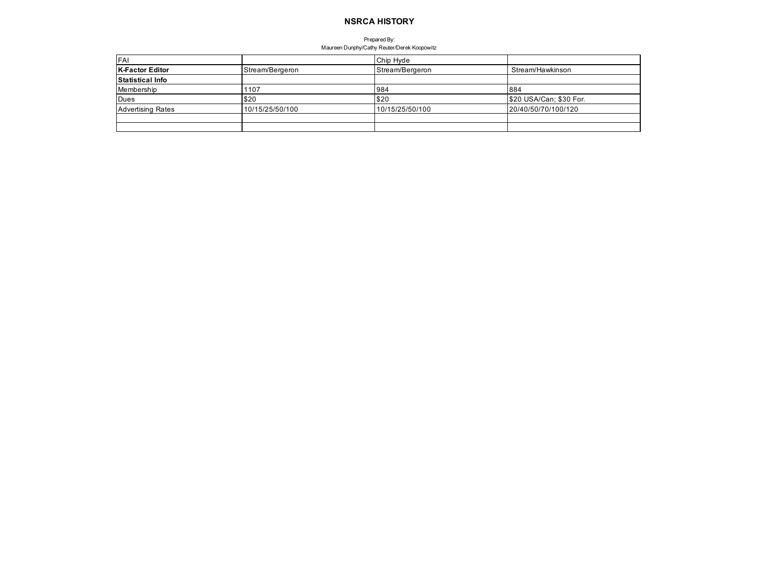| <b>FAI</b>               |                 | Chip Hyde       |                         |
|--------------------------|-----------------|-----------------|-------------------------|
| K-Factor Editor          | Stream/Bergeron | Stream/Bergeron | Stream/Hawkinson        |
| <b>Statistical Info</b>  |                 |                 |                         |
| Membership               | 1107            | 984             | 884                     |
| Dues                     | \$20            | \$20            | \$20 USA/Can; \$30 For. |
| <b>Advertising Rates</b> | 10/15/25/50/100 | 10/15/25/50/100 | 20/40/50/70/100/120     |
|                          |                 |                 |                         |
|                          |                 |                 |                         |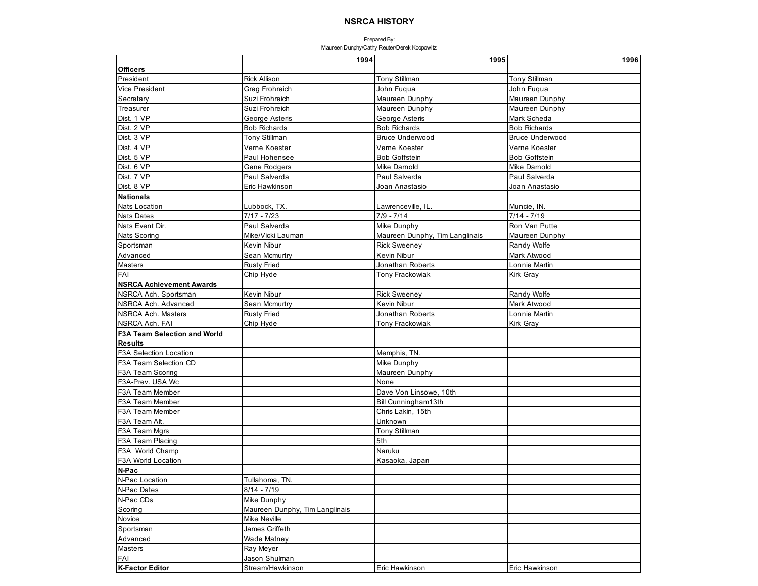|                                     | 1994                           | 1995                           | 1996                   |
|-------------------------------------|--------------------------------|--------------------------------|------------------------|
| <b>Officers</b>                     |                                |                                |                        |
| President                           | <b>Rick Allison</b>            | <b>Tony Stillman</b>           | <b>Tony Stillman</b>   |
| <b>Vice President</b>               | <b>Greg Frohreich</b>          | John Fuqua                     | John Fuqua             |
| Secretary                           | Suzi Frohreich                 | Maureen Dunphy                 | Maureen Dunphy         |
| Treasurer                           | Suzi Frohreich                 | Maureen Dunphy                 | Maureen Dunphy         |
| Dist. 1 VP                          | George Asteris                 | George Asteris                 | Mark Scheda            |
| Dist. 2 VP                          | <b>Bob Richards</b>            | <b>Bob Richards</b>            | <b>Bob Richards</b>    |
| Dist. 3 VP                          | Tony Stillman                  | <b>Bruce Underwood</b>         | <b>Bruce Underwood</b> |
| Dist. 4 VP                          | Verne Koester                  | Verne Koester                  | Veme Koester           |
| Dist. 5 VP                          | Paul Hohensee                  | <b>Bob Goffstein</b>           | <b>Bob Goffstein</b>   |
| Dist. 6 VP                          | Gene Rodgers                   | Mike Darnold                   | Mike Damold            |
| Dist. 7 VP                          | Paul Salverda                  | Paul Salverda                  | Paul Salverda          |
| Dist. 8 VP                          | Eric Hawkinson                 | Joan Anastasio                 | Joan Anastasio         |
| <b>Nationals</b>                    |                                |                                |                        |
| <b>Nats Location</b>                | Lubbock, TX.                   | Lawrenceville, IL.             | Muncie, IN.            |
| <b>Nats Dates</b>                   | $7/17 - 7/23$                  | $7/9 - 7/14$                   | $7/14 - 7/19$          |
| Nats Event Dir.                     | Paul Salverda                  | Mike Dunphy                    | Ron Van Putte          |
| Nats Scoring                        | Mike/Vicki Lauman              | Maureen Dunphy, Tim Langlinais | Maureen Dunphy         |
| Sportsman                           | Kevin Nibur                    | <b>Rick Sweeney</b>            | Randy Wolfe            |
| Advanced                            | Sean Mcmurtry                  | Kevin Nibur                    | Mark Atwood            |
| Masters                             | <b>Rusty Fried</b>             | Jonathan Roberts               | Lonnie Martin          |
| FAI                                 | Chip Hyde                      | Tony Frackowiak                | Kirk Gray              |
| <b>NSRCA Achievement Awards</b>     |                                |                                |                        |
| NSRCA Ach. Sportsman                | Kevin Nibur                    | <b>Rick Sweeney</b>            | Randy Wolfe            |
| NSRCA Ach. Advanced                 | Sean Mcmurtry                  | Kevin Nibur                    | Mark Atwood            |
| NSRCA Ach. Masters                  | <b>Rusty Fried</b>             | Jonathan Roberts               | Lonnie Martin          |
| NSRCA Ach. FAI                      | Chip Hyde                      | Tony Frackowiak                | Kirk Gray              |
| <b>F3A Team Selection and World</b> |                                |                                |                        |
| <b>Results</b>                      |                                |                                |                        |
| <b>F3A Selection Location</b>       |                                | Memphis, TN.                   |                        |
| F3A Team Selection CD               |                                | Mike Dunphy                    |                        |
| F3A Team Scoring                    |                                | Maureen Dunphy                 |                        |
| F3A-Prev. USA Wc                    |                                | None                           |                        |
| F3A Team Member                     |                                | Dave Von Linsowe, 10th         |                        |
| F3A Team Member                     |                                | Bill Cunningham13th            |                        |
| F3A Team Member                     |                                | Chris Lakin, 15th              |                        |
| F3A Team Alt.                       |                                | Unknown                        |                        |
| F3A Team Mgrs                       |                                | Tony Stillman                  |                        |
| F3A Team Placing                    |                                | 5th                            |                        |
| F3A World Champ                     |                                | Naruku                         |                        |
| F3A World Location                  |                                | Kasaoka, Japan                 |                        |
| N-Pac                               |                                |                                |                        |
| N-Pac Location                      | Tullahoma, TN.                 |                                |                        |
| N-Pac Dates                         | $8/14 - 7/19$                  |                                |                        |
| N-Pac CDs                           | Mike Dunphy                    |                                |                        |
| Scoring                             | Maureen Dunphy, Tim Langlinais |                                |                        |
| Novice                              | Mike Neville                   |                                |                        |
| Sportsman                           | James Griffeth                 |                                |                        |
| Advanced                            | Wade Matney                    |                                |                        |
| <b>Masters</b>                      | Ray Meyer                      |                                |                        |
| FAI                                 | Jason Shulman                  |                                |                        |
| <b>K-Factor Editor</b>              | Stream/Hawkinson               | Eric Hawkinson                 | Eric Hawkinson         |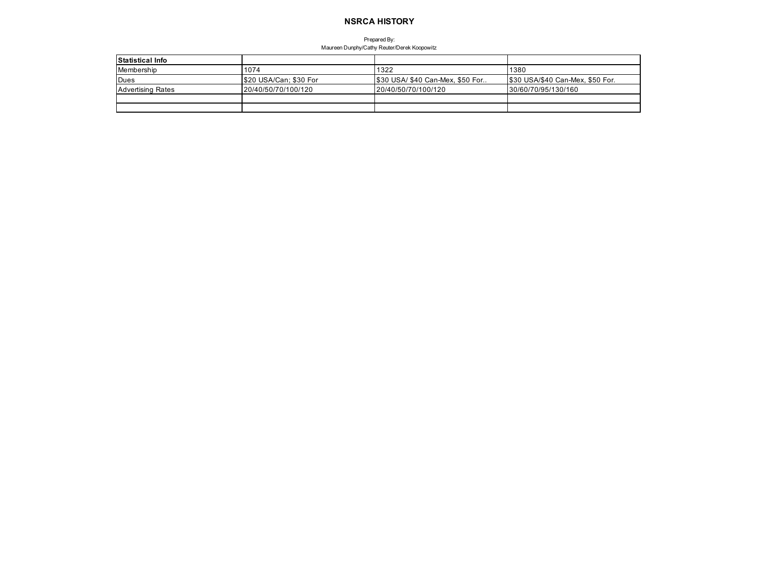| <b>Statistical Info</b>  |                        |                                 |                                  |
|--------------------------|------------------------|---------------------------------|----------------------------------|
| Membership               | 1074                   | 1322                            | 1380                             |
| <b>IDues</b>             | \$20 USA/Can; \$30 For | \$30 USA/\$40 Can-Mex, \$50 For | \$30 USA/\$40 Can-Mex, \$50 For. |
| <b>Advertising Rates</b> | 20/40/50/70/100/120    | 120/40/50/70/100/120            | 30/60/70/95/130/160              |
|                          |                        |                                 |                                  |
|                          |                        |                                 |                                  |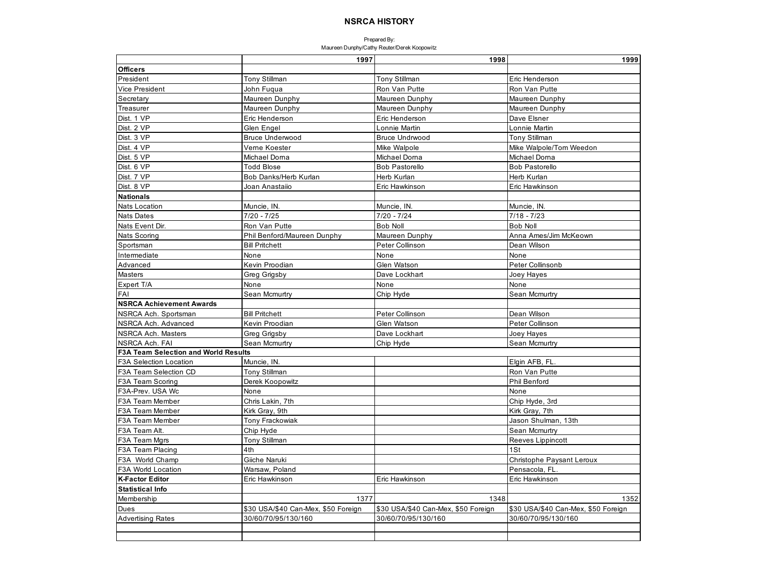|                                             | 1997                                | 1998                                | 1999                                |
|---------------------------------------------|-------------------------------------|-------------------------------------|-------------------------------------|
| <b>Officers</b>                             |                                     |                                     |                                     |
| President                                   | Tony Stillman                       | <b>Tony Stillman</b>                | Eric Henderson                      |
| <b>Vice President</b>                       | John Fuqua                          | Ron Van Putte                       | Ron Van Putte                       |
| Secretary                                   | Maureen Dunphy                      | Maureen Dunphy                      | Maureen Dunphy                      |
| Treasurer                                   | Maureen Dunphy                      | Maureen Dunphy                      | Maureen Dunphy                      |
| Dist. 1 VP                                  | Eric Henderson                      | Eric Henderson                      | Dave Elsner                         |
| Dist. 2 VP                                  | Glen Engel                          | Lonnie Martin                       | Lonnie Martin                       |
| Dist. 3 VP                                  | <b>Bruce Underwood</b>              | <b>Bruce Undrwood</b>               | <b>Tony Stillman</b>                |
| Dist. 4 VP                                  | Verne Koester                       | Mike Walpole                        | Mike Walpole/Tom Weedon             |
| Dist. 5 VP                                  | Michael Doma                        | Michael Dorna                       | Michael Doma                        |
| Dist. 6 VP                                  | <b>Todd Blose</b>                   | <b>Bob Pastorello</b>               | <b>Bob Pastorello</b>               |
| Dist. 7 VP                                  | Bob Danks/Herb Kurlan               | Herb Kurlan                         | Herb Kurlan                         |
| Dist. 8 VP                                  | Joan Anastaiio                      | Eric Hawkinson                      | Eric Hawkinson                      |
| <b>Nationals</b>                            |                                     |                                     |                                     |
| <b>Nats Location</b>                        | Muncie, IN.                         | Muncie, IN.                         | Muncie, IN                          |
| <b>Nats Dates</b>                           | $7/20 - 7/25$                       | $7/20 - 7/24$                       | $7/18 - 7/23$                       |
| Nats Event Dir.                             | Ron Van Putte                       | <b>Bob Noll</b>                     | <b>Bob Noll</b>                     |
| Nats Scoring                                | Phil Benford/Maureen Dunphy         | Maureen Dunphy                      | Anna Ames/Jim McKeown               |
| Sportsman                                   | <b>Bill Pritchett</b>               | Peter Collinson                     | Dean Wilson                         |
| Intermediate                                | None                                | None                                | None                                |
| Advanced                                    | Kevin Proodian                      | Glen Watson                         | Peter Collinsonb                    |
| Masters                                     | Greg Grigsby                        | Dave Lockhart                       | Joey Hayes                          |
| Expert T/A                                  | None                                | None                                | None                                |
| FAI                                         | Sean Mcmurtry                       | Chip Hyde                           | Sean Mcmurtry                       |
| <b>NSRCA Achievement Awards</b>             |                                     |                                     |                                     |
| NSRCA Ach. Sportsman                        | <b>Bill Pritchett</b>               | Peter Collinson                     | Dean Wilson                         |
| NSRCA Ach. Advanced                         | Kevin Proodian                      | Glen Watson                         | Peter Collinson                     |
| NSRCA Ach. Masters                          | Greg Grigsby                        | Dave Lockhart                       | Joey Hayes                          |
| NSRCA Ach. FAI                              | Sean Mcmurtry                       | Chip Hyde                           | Sean Mcmurtry                       |
| <b>F3A Team Selection and World Results</b> |                                     |                                     |                                     |
| <b>F3A Selection Location</b>               | Muncie, IN.                         |                                     | Elgin AFB, FL                       |
| F3A Team Selection CD                       | Tony Stillman                       |                                     | Ron Van Putte                       |
| F3A Team Scoring                            | Derek Koopowitz                     |                                     | <b>Phil Benford</b>                 |
| F3A-Prev. USA Wc                            | None                                |                                     | None                                |
| F3A Team Member                             | Chris Lakin, 7th                    |                                     | Chip Hyde, 3rd                      |
| F3A Team Member                             | Kirk Gray, 9th                      |                                     | Kirk Gray, 7th                      |
| F3A Team Member                             | Tony Frackowiak                     |                                     | Jason Shulman, 13th                 |
| F3A Team Alt.                               | Chip Hyde                           |                                     | Sean Mcmurtry                       |
| F3A Team Mgrs                               | Tony Stillman                       |                                     | Reeves Lippincott                   |
| F3A Team Placing                            | 4th                                 |                                     | 1St                                 |
| F3A World Champ                             | Giiche Naruki                       |                                     | Christophe Paysant Leroux           |
| F3A World Location                          | Warsaw, Poland                      |                                     | Pensacola, FL                       |
| <b>K-Factor Editor</b>                      | Eric Hawkinson                      | Eric Hawkinson                      | Eric Hawkinson                      |
| <b>Statistical Info</b>                     |                                     |                                     |                                     |
| Membership                                  | 1377                                | 1348                                | 1352                                |
| Dues                                        | \$30 USA/\$40 Can-Mex, \$50 Foreign | \$30 USA/\$40 Can-Mex, \$50 Foreign | \$30 USA/\$40 Can-Mex, \$50 Foreign |
| <b>Advertising Rates</b>                    | 30/60/70/95/130/160                 | 30/60/70/95/130/160                 | 30/60/70/95/130/160                 |
|                                             |                                     |                                     |                                     |
|                                             |                                     |                                     |                                     |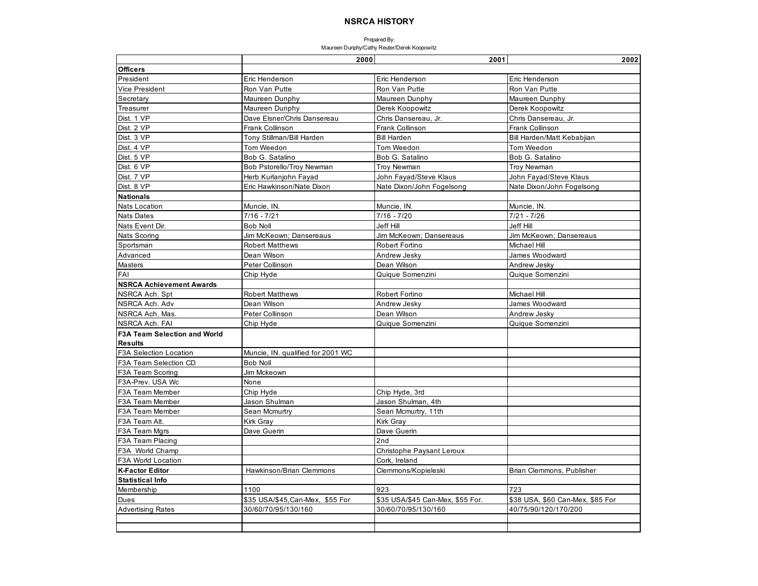|                                     | 2000                              | 2001                             | 2002                             |
|-------------------------------------|-----------------------------------|----------------------------------|----------------------------------|
| <b>Officers</b>                     |                                   |                                  |                                  |
| President                           | Eric Henderson                    | Eric Henderson                   | Eric Henderson                   |
| Vice President                      | Ron Van Putte                     | Ron Van Putte                    | Ron Van Putte                    |
| Secretary                           | Maureen Dunphy                    | Maureen Dunphy                   | Maureen Dunphy                   |
| Treasurer                           | Maureen Dunphy                    | Derek Koopowitz                  | Derek Koopowitz                  |
| Dist. 1 VP                          | Dave Elsner/Chris Dansereau       | Chris Dansereau, Jr.             | Chris Dansereau, Jr.             |
| Dist. 2 VP                          | Frank Collinson                   | Frank Collinson                  | Frank Collinson                  |
| Dist. 3 VP                          | Tony Stillman/Bill Harden         | <b>Bill Harden</b>               | Bill Harden/Matt Kebabjian       |
| Dist. 4 VP                          | Tom Weedon                        | Tom Weedon                       | Tom Weedon                       |
| Dist. 5 VP                          | Bob G. Satalino                   | Bob G. Satalino                  | Bob G. Satalino                  |
| Dist. 6 VP                          | Bob Pstorello/Troy Newman         | <b>Troy Newman</b>               | <b>Troy Newman</b>               |
| Dist. 7 VP                          | Herb Kurlanjohn Fayad             | John Fayad/Steve Klaus           | John Fayad/Steve Klaus           |
| Dist. 8 VP                          | Eric Hawkinson/Nate Dixon         | Nate Dixon/John Fogelsong        | Nate Dixon/John Fogelsong        |
| <b>Nationals</b>                    |                                   |                                  |                                  |
| <b>Nats Location</b>                | Muncie, IN.                       | Muncie, IN.                      | Muncie, IN.                      |
| <b>Nats Dates</b>                   | $7/16 - 7/21$                     | $7/16 - 7/20$                    | $7/21 - 7/26$                    |
| Nats Event Dir.                     | <b>Bob Noll</b>                   | Jeff Hill                        | Jeff Hill                        |
| Nats Scoring                        | Jim McKeown: Dansereaus           | Jim McKeown; Dansereaus          | Jim McKeown; Dansereaus          |
| Sportsman                           | <b>Robert Matthews</b>            | Robert Fortino                   | <b>Michael Hill</b>              |
| Advanced                            | Dean Wilson                       | Andrew Jesky                     | James Woodward                   |
| Masters                             | Peter Collinson                   | Dean Wilson                      | Andrew Jesky                     |
| FAI                                 | Chip Hyde                         | Quique Somenzini                 | Quique Somenzini                 |
| <b>NSRCA Achievement Awards</b>     |                                   |                                  |                                  |
| NSRCA Ach. Spt                      | <b>Robert Matthews</b>            | Robert Fortino                   | Michael Hill                     |
| NSRCA Ach. Adv                      | Dean Wilson                       | Andrew Jesky                     | James Woodward                   |
| NSRCA Ach. Mas.                     | Peter Collinson                   | Dean Wilson                      | Andrew Jesky                     |
| <b>NSRCA Ach. FAI</b>               | Chip Hyde                         | Quique Somenzini                 | Quique Somenzini                 |
| <b>F3A Team Selection and World</b> |                                   |                                  |                                  |
| <b>Results</b>                      |                                   |                                  |                                  |
| <b>F3A Selection Location</b>       | Muncie, IN. qualified for 2001 WC |                                  |                                  |
| F3A Team Selection CD               | <b>Bob Noll</b>                   |                                  |                                  |
| F3A Team Scoring                    | Jim Mckeown                       |                                  |                                  |
| F3A-Prev. USA Wc                    | None                              |                                  |                                  |
| F3A Team Member                     | Chip Hyde                         | Chip Hyde, 3rd                   |                                  |
| F3A Team Member                     | Jason Shulman                     | Jason Shulman, 4th               |                                  |
| F3A Team Member                     | Sean Mcmurtry                     | Sean Mcmurtry, 11th              |                                  |
| F3A Team Alt.                       | <b>Kirk Gray</b>                  | Kirk Gray                        |                                  |
| F3A Team Mgrs                       | Dave Guerin                       | Dave Guerin                      |                                  |
| F3A Team Placing                    |                                   | 2nd                              |                                  |
| F3A World Champ                     |                                   | Christophe Paysant Leroux        |                                  |
| F3A World Location                  |                                   | Cork, Ireland                    |                                  |
| <b>K-Factor Editor</b>              | Hawkinson/Brian Clemmons          | Clemmons/Kopieleski              | Brian Clemmons, Publisher        |
| <b>Statistical Info</b>             |                                   |                                  |                                  |
| Membership                          | 1100                              | 923                              | 723                              |
| Dues                                | \$35 USA/\$45, Can-Mex, \$55 For  | \$35 USA/\$45 Can-Mex, \$55 For. | \$38 USA, \$60 Can-Mex, \$85 For |
| <b>Advertising Rates</b>            | 30/60/70/95/130/160               | 30/60/70/95/130/160              | 40/75/90/120/170/200             |
|                                     |                                   |                                  |                                  |
|                                     |                                   |                                  |                                  |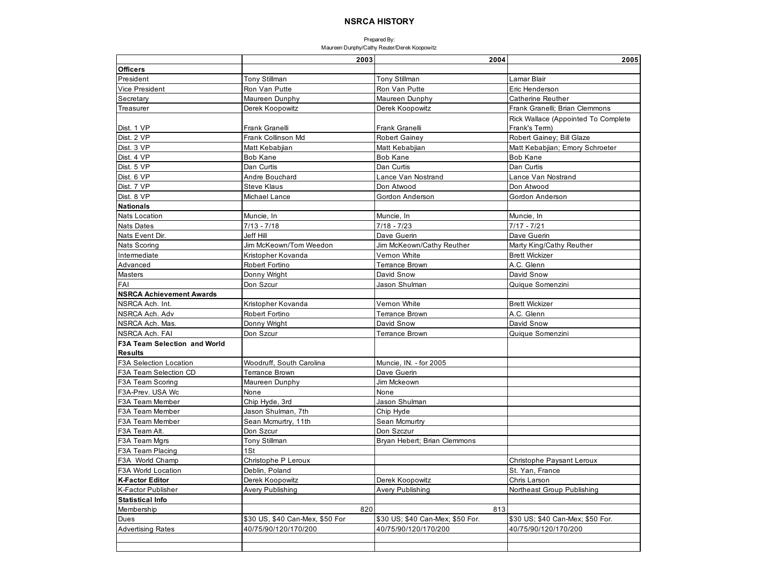|                                     | 2003                            | 2004                             | 2005                                |
|-------------------------------------|---------------------------------|----------------------------------|-------------------------------------|
| <b>Officers</b>                     |                                 |                                  |                                     |
| President                           | <b>Tony Stillman</b>            | Tony Stillman                    | Lamar Blair                         |
| <b>Vice President</b>               | Ron Van Putte                   | Ron Van Putte                    | Eric Henderson                      |
| Secretary                           | Maureen Dunphy                  | Maureen Dunphy                   | <b>Catherine Reuther</b>            |
| Treasurer                           | Derek Koopowitz                 | Derek Koopowitz                  | Frank Granelli; Brian Clemmons      |
|                                     |                                 |                                  | Rick Wallace (Appointed To Complete |
| Dist. 1 VP                          | Frank Granelli                  | Frank Granelli                   | Frank's Term)                       |
| Dist. 2 VP                          | Frank Collinson Md              | Robert Gainey                    | Robert Gainey; Bill Glaze           |
| Dist. 3 VP                          | Matt Kebabjian                  | Matt Kebabjian                   | Matt Kebabjian; Emory Schroeter     |
| Dist. 4 VP                          | <b>Bob Kane</b>                 | <b>Bob Kane</b>                  | <b>Bob Kane</b>                     |
| Dist. 5 VP                          | Dan Curtis                      | Dan Curtis                       | Dan Curtis                          |
| Dist. 6 VP                          | Andre Bouchard                  | Lance Van Nostrand               | Lance Van Nostrand                  |
| Dist. 7 VP                          | <b>Steve Klaus</b>              | Don Atwood                       | Don Atwood                          |
| Dist. 8 VP                          | Michael Lance                   | Gordon Anderson                  | Gordon Anderson                     |
| <b>Nationals</b>                    |                                 |                                  |                                     |
| <b>Nats Location</b>                | Muncie, In                      | Muncie, In                       | Muncie, In                          |
| <b>Nats Dates</b>                   | $7/13 - 7/18$                   | $7/18 - 7/23$                    | $7/17 - 7/21$                       |
| Nats Event Dir.                     | Jeff Hill                       | Dave Guerin                      | Dave Guerin                         |
| Nats Scoring                        | Jim McKeown/Tom Weedon          | Jim McKeown/Cathy Reuther        | Marty King/Cathy Reuther            |
| Intermediate                        | Kristopher Kovanda              | Vernon White                     | <b>Brett Wickizer</b>               |
| Advanced                            | Robert Fortino                  | <b>Terrance Brown</b>            | A.C. Glenn                          |
| Masters                             | Donny Wright                    | David Snow                       | David Snow                          |
| FAI                                 | Don Szcur                       | Jason Shulman                    | Quique Somenzini                    |
| <b>NSRCA Achievement Awards</b>     |                                 |                                  |                                     |
| NSRCA Ach. Int.                     | Kristopher Kovanda              | Vernon White                     | <b>Brett Wickizer</b>               |
| NSRCA Ach. Adv                      | Robert Fortino                  | <b>Terrance Brown</b>            | A.C. Glenn                          |
| NSRCA Ach. Mas.                     | Donny Wright                    | David Snow                       | David Snow                          |
| NSRCA Ach. FAI                      | Don Szcur                       | <b>Terrance Brown</b>            | Quique Somenzini                    |
| <b>F3A Team Selection and World</b> |                                 |                                  |                                     |
| <b>Results</b>                      |                                 |                                  |                                     |
| F3A Selection Location              | Woodruff, South Carolina        | Muncie, IN. - for 2005           |                                     |
| F3A Team Selection CD               | Terrance Brown                  | Dave Guerin                      |                                     |
| F3A Team Scoring                    | Maureen Dunphy                  | Jim Mckeown                      |                                     |
| F3A-Prev. USA Wc                    | None                            | None                             |                                     |
| F3A Team Member                     | Chip Hyde, 3rd                  | Jason Shulman                    |                                     |
| F3A Team Member                     | Jason Shulman, 7th              | Chip Hyde                        |                                     |
| F3A Team Member                     | Sean Mcmurtry, 11th             | Sean Mcmurtry                    |                                     |
| F3A Team Alt.                       | Don Szcur                       | Don Szczur                       |                                     |
| F3A Team Mgrs                       | Tony Stillman                   | Bryan Hebert; Brian Clemmons     |                                     |
| F3A Team Placing                    | 1St                             |                                  |                                     |
| F3A World Champ                     | Christophe P Leroux             |                                  | Christophe Paysant Leroux           |
| F3A World Location                  | Deblin, Poland                  |                                  | St. Yan, France                     |
| <b>K-Factor Editor</b>              | Derek Koopowitz                 | Derek Koopowitz                  | Chris Larson                        |
| <b>K-Factor Publisher</b>           | Avery Publishing                | <b>Avery Publishing</b>          | Northeast Group Publishing          |
| <b>Statistical Info</b>             |                                 |                                  |                                     |
| Membership                          | 820                             | 813                              |                                     |
| Dues                                | \$30 US, \$40 Can-Mex, \$50 For | \$30 US; \$40 Can-Mex; \$50 For. | \$30 US; \$40 Can-Mex; \$50 For.    |
| <b>Advertising Rates</b>            | 40/75/90/120/170/200            | 40/75/90/120/170/200             | 40/75/90/120/170/200                |
|                                     |                                 |                                  |                                     |
|                                     |                                 |                                  |                                     |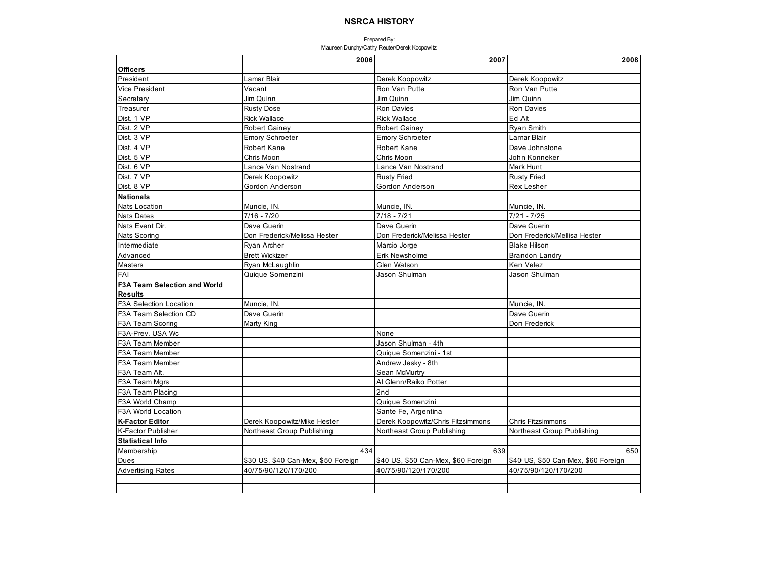|                                     | 2006                                | 2007                                | 2008                                |
|-------------------------------------|-------------------------------------|-------------------------------------|-------------------------------------|
| <b>Officers</b>                     |                                     |                                     |                                     |
| President                           | Lamar Blair                         | Derek Koopowitz                     | Derek Koopowitz                     |
| <b>Vice President</b>               | Vacant                              | Ron Van Putte                       | Ron Van Putte                       |
| Secretary                           | Jim Quinn                           | Jim Quinn                           | Jim Quinn                           |
| Treasurer                           | <b>Rusty Dose</b>                   | <b>Ron Davies</b>                   | Ron Davies                          |
| Dist. 1 VP                          | <b>Rick Wallace</b>                 | <b>Rick Wallace</b>                 | Ed Alt                              |
| Dist. 2 VP                          | <b>Robert Gainey</b>                | <b>Robert Gainey</b>                | <b>Ryan Smith</b>                   |
| Dist. 3 VP                          | <b>Emory Schroeter</b>              | <b>Emory Schroeter</b>              | Lamar Blair                         |
| Dist. 4 VP                          | <b>Robert Kane</b>                  | <b>Robert Kane</b>                  | Dave Johnstone                      |
| Dist. 5 VP                          | Chris Moon                          | Chris Moon                          | John Konneker                       |
| Dist. 6 VP                          | Lance Van Nostrand                  | Lance Van Nostrand                  | Mark Hunt                           |
| Dist. 7 VP                          | Derek Koopowitz                     | <b>Rusty Fried</b>                  | <b>Rusty Fried</b>                  |
| Dist. 8 VP                          | Gordon Anderson                     | Gordon Anderson                     | <b>Rex Lesher</b>                   |
| <b>Nationals</b>                    |                                     |                                     |                                     |
| <b>Nats Location</b>                | Muncie, IN.                         | Muncie, IN.                         | Muncie, IN.                         |
| <b>Nats Dates</b>                   | $7/16 - 7/20$                       | $7/18 - 7/21$                       | $7/21 - 7/25$                       |
| Nats Event Dir.                     | Dave Guerin                         | Dave Guerin                         | Dave Guerin                         |
| Nats Scoring                        | Don Frederick/Melissa Hester        | Don Frederick/Melissa Hester        | Don Frederick/Mellisa Hester        |
| Intermediate                        | Ryan Archer                         | Marcio Jorge                        | <b>Blake Hilson</b>                 |
| Advanced                            | <b>Brett Wickizer</b>               | Erik Newsholme                      | <b>Brandon Landry</b>               |
| Masters                             | Ryan McLaughlin                     | Glen Watson                         | Ken Velez                           |
| FAI                                 | Quique Somenzini                    | Jason Shulman                       | Jason Shulman                       |
| <b>F3A Team Selection and World</b> |                                     |                                     |                                     |
| <b>Results</b>                      |                                     |                                     |                                     |
| <b>F3A Selection Location</b>       | Muncie, IN.                         |                                     | Muncie, IN.                         |
| F3A Team Selection CD               | Dave Guerin                         |                                     | Dave Guerin                         |
| F3A Team Scoring                    | Marty King                          |                                     | Don Frederick                       |
| F3A-Prev. USA Wc                    |                                     | None                                |                                     |
| F3A Team Member                     |                                     | Jason Shulman - 4th                 |                                     |
| F3A Team Member                     |                                     | Quique Somenzini - 1st              |                                     |
| F3A Team Member                     |                                     | Andrew Jesky - 8th                  |                                     |
| F3A Team Alt.                       |                                     | Sean McMurtry                       |                                     |
| F3A Team Mars                       |                                     | Al Glenn/Raiko Potter               |                                     |
| F3A Team Placing                    |                                     | 2nd                                 |                                     |
| F3A World Champ                     |                                     | Quique Somenzini                    |                                     |
| F3A World Location                  |                                     | Sante Fe, Argentina                 |                                     |
| <b>K-Factor Editor</b>              | Derek Koopowitz/Mike Hester         | Derek Koopowitz/Chris Fitzsimmons   | Chris Fitzsimmons                   |
| <b>K-Factor Publisher</b>           | Northeast Group Publishing          | Northeast Group Publishing          | Northeast Group Publishing          |
| <b>Statistical Info</b>             |                                     |                                     |                                     |
| Membership                          | 434                                 | 639                                 | 650                                 |
| Dues                                | \$30 US, \$40 Can-Mex, \$50 Foreign | \$40 US, \$50 Can-Mex, \$60 Foreign | \$40 US, \$50 Can-Mex, \$60 Foreign |
| <b>Advertising Rates</b>            | 40/75/90/120/170/200                | 40/75/90/120/170/200                | 40/75/90/120/170/200                |
|                                     |                                     |                                     |                                     |
|                                     |                                     |                                     |                                     |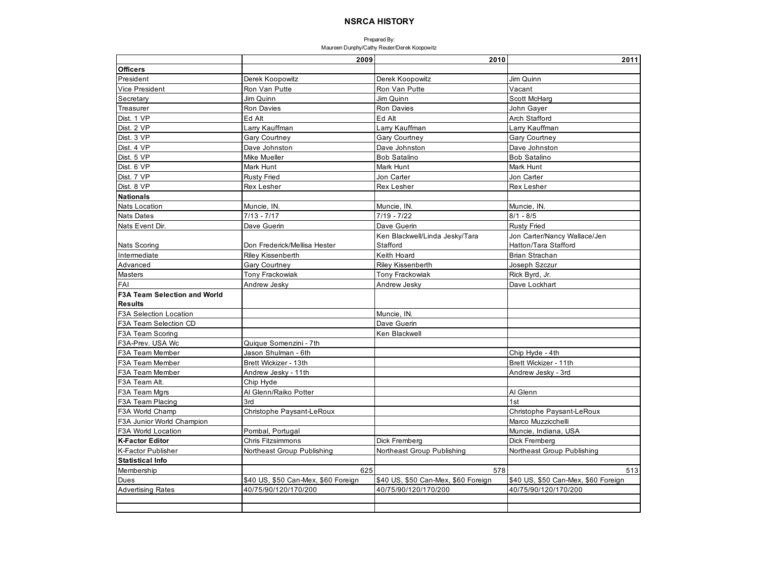|                                     | 2009                                | 2010                                       | 2011                                                 |
|-------------------------------------|-------------------------------------|--------------------------------------------|------------------------------------------------------|
| <b>Officers</b>                     |                                     |                                            |                                                      |
| President                           | Derek Koopowitz                     | Derek Koopowitz                            | Jim Quinn                                            |
| Vice President                      | Ron Van Putte                       | Ron Van Putte                              | Vacant                                               |
| Secretary                           | Jim Quinn                           | Jim Quinn                                  | Scott McHarg                                         |
| Treasurer                           | Ron Davies                          | Ron Davies                                 | John Gayer                                           |
| Dist. 1 VP                          | Ed Alt                              | Ed Alt                                     | Arch Stafford                                        |
| Dist. 2 VP                          | Larry Kauffman                      | Larry Kauffman                             | Larry Kauffman                                       |
| Dist. 3 VP                          | <b>Gary Courtney</b>                | <b>Gary Courtney</b>                       | <b>Gary Courtney</b>                                 |
| Dist. 4 VP                          | Dave Johnston                       | Dave Johnston                              | Dave Johnston                                        |
| Dist. 5 VP                          | Mike Mueller                        | <b>Bob Satalino</b>                        | <b>Bob Satalino</b>                                  |
| Dist. 6 VP                          | Mark Hunt                           | Mark Hunt                                  | Mark Hunt                                            |
| Dist. 7 VP                          | <b>Rusty Fried</b>                  | Jon Carter                                 | Jon Carter                                           |
| Dist. 8 VP                          | <b>Rex Lesher</b>                   | Rex Lesher                                 | <b>Rex Lesher</b>                                    |
| <b>Nationals</b>                    |                                     |                                            |                                                      |
| <b>Nats Location</b>                | Muncie, IN.                         | Muncie, IN.                                | Muncie, IN.                                          |
| <b>Nats Dates</b>                   | $7/13 - 7/17$                       | $7/19 - 7/22$                              | $8/1 - 8/5$                                          |
| Nats Event Dir.                     | Dave Guerin                         | Dave Guerin                                | <b>Rusty Fried</b>                                   |
| <b>Nats Scoring</b>                 | Don Frederick/Mellisa Hester        | Ken Blackwell/Linda Jesky/Tara<br>Stafford | Jon Carter/Nancy Wallace/Jen<br>Hatton/Tara Stafford |
| Intermediate                        | Riley Kissenberth                   | Keith Hoard                                | <b>Brian Strachan</b>                                |
| Advanced                            | <b>Gary Courtney</b>                | <b>Riley Kissenberth</b>                   | Joseph Szczur                                        |
| Masters                             | <b>Tony Frackowiak</b>              | Tony Frackowiak                            | Rick Byrd, Jr.                                       |
| FAI                                 | Andrew Jesky                        | Andrew Jesky                               | Dave Lockhart                                        |
| <b>F3A Team Selection and World</b> |                                     |                                            |                                                      |
| <b>Results</b>                      |                                     |                                            |                                                      |
| F3A Selection Location              |                                     | Muncie, IN.                                |                                                      |
| F3A Team Selection CD               |                                     | Dave Guerin                                |                                                      |
| F3A Team Scoring                    |                                     | Ken Blackwell                              |                                                      |
| F3A-Prev. USA Wc                    | Quique Somenzini - 7th              |                                            |                                                      |
| F3A Team Member                     | Jason Shulman - 6th                 |                                            | Chip Hyde - 4th                                      |
| F3A Team Member                     | Brett Wickizer - 13th               |                                            | Brett Wickizer - 11th                                |
| F3A Team Member                     | Andrew Jesky - 11th                 |                                            | Andrew Jesky - 3rd                                   |
| F3A Team Alt.                       | Chip Hyde                           |                                            |                                                      |
| F3A Team Mgrs                       | Al Glenn/Raiko Potter               |                                            | Al Glenn                                             |
| F3A Team Placing                    | 3rd                                 |                                            | 1st                                                  |
| F3A World Champ                     | Christophe Paysant-LeRoux           |                                            | Christophe Paysant-LeRoux                            |
| F3A Junior World Champion           |                                     |                                            | Marco Muzzicchelli                                   |
| F3A World Location                  | Pombal, Portugal                    |                                            | Muncie, Indiana, USA                                 |
| <b>K-Factor Editor</b>              | Chris Fitzsimmons                   | Dick Fremberg                              | Dick Fremberg                                        |
| <b>K-Factor Publisher</b>           | Northeast Group Publishing          | Northeast Group Publishing                 | Northeast Group Publishing                           |
| <b>Statistical Info</b>             |                                     |                                            |                                                      |
| Membership                          | 625                                 | 578                                        | 513                                                  |
| Dues                                | \$40 US, \$50 Can-Mex, \$60 Foreign | \$40 US, \$50 Can-Mex, \$60 Foreign        | \$40 US, \$50 Can-Mex, \$60 Foreign                  |
| <b>Advertising Rates</b>            | 40/75/90/120/170/200                | 40/75/90/120/170/200                       | 40/75/90/120/170/200                                 |
|                                     |                                     |                                            |                                                      |
|                                     |                                     |                                            |                                                      |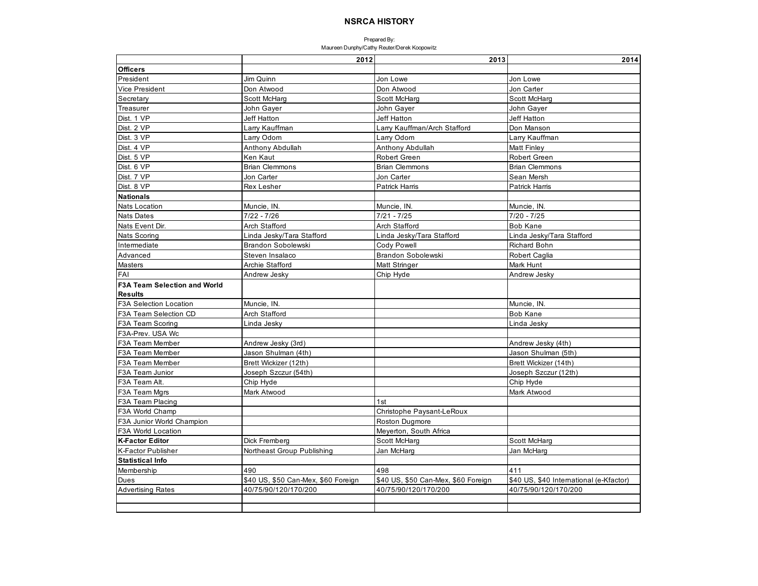|                                     | 2012                                | 2013                                | 2014                                    |
|-------------------------------------|-------------------------------------|-------------------------------------|-----------------------------------------|
| <b>Officers</b>                     |                                     |                                     |                                         |
| President                           | Jim Quinn                           | Jon Lowe                            | Jon Lowe                                |
| <b>Vice President</b>               | Don Atwood                          | Don Atwood                          | Jon Carter                              |
| Secretary                           | Scott McHarg                        | Scott McHard                        | Scott McHard                            |
| Treasurer                           | John Gayer                          | John Gayer                          | John Gayer                              |
| Dist. 1 VP                          | Jeff Hatton                         | <b>Jeff Hatton</b>                  | Jeff Hatton                             |
| Dist. 2 VP                          | Larry Kauffman                      | Larry Kauffman/Arch Stafford        | Don Manson                              |
| Dist. 3 VP                          | Larry Odom                          | Larry Odom                          | Larry Kauffman                          |
| Dist. 4 VP                          | Anthony Abdullah                    | Anthony Abdullah                    | <b>Matt Finley</b>                      |
| Dist. 5 VP                          | Ken Kaut                            | <b>Robert Green</b>                 | <b>Robert Green</b>                     |
| Dist. 6 VP                          | <b>Brian Clemmons</b>               | <b>Brian Clemmons</b>               | <b>Brian Clemmons</b>                   |
| Dist. 7 VP                          | Jon Carter                          | Jon Carter                          | Sean Mersh                              |
| Dist. 8 VP                          | Rex Lesher                          | <b>Patrick Harris</b>               | <b>Patrick Harris</b>                   |
| <b>Nationals</b>                    |                                     |                                     |                                         |
| <b>Nats Location</b>                | Muncie, IN.                         | Muncie, IN.                         | Muncie, IN.                             |
| <b>Nats Dates</b>                   | $7/22 - 7/26$                       | $7/21 - 7/25$                       | $7/20 - 7/25$                           |
| Nats Event Dir.                     | Arch Stafford                       | <b>Arch Stafford</b>                | <b>Bob Kane</b>                         |
| Nats Scoring                        | Linda Jesky/Tara Stafford           | Linda Jesky/Tara Stafford           | Linda Jesky/Tara Stafford               |
| Intermediate                        | <b>Brandon Sobolewski</b>           | Cody Powell                         | Richard Bohn                            |
| Advanced                            | Steven Insalaco                     | Brandon Sobolewski                  | <b>Robert Caglia</b>                    |
| Masters                             | Archie Stafford                     | Matt Stringer                       | Mark Hunt                               |
| FAI                                 | Andrew Jesky                        | Chip Hyde                           | Andrew Jesky                            |
| <b>F3A Team Selection and World</b> |                                     |                                     |                                         |
| <b>Results</b>                      |                                     |                                     |                                         |
| F3A Selection Location              | Muncie, IN.                         |                                     | Muncie, IN                              |
| F3A Team Selection CD               | <b>Arch Stafford</b>                |                                     | <b>Bob Kane</b>                         |
| F3A Team Scoring                    | Linda Jesky                         |                                     | Linda Jesky                             |
| F3A-Prev. USA Wc                    |                                     |                                     |                                         |
| F3A Team Member                     | Andrew Jesky (3rd)                  |                                     | Andrew Jesky (4th)                      |
| F3A Team Member                     | Jason Shulman (4th)                 |                                     | Jason Shulman (5th)                     |
| F3A Team Member                     | Brett Wickizer (12th)               |                                     | Brett Wickizer (14th)                   |
| F3A Team Junior                     | Joseph Szczur (54th)                |                                     | Joseph Szczur (12th)                    |
| F3A Team Alt.                       | Chip Hyde                           |                                     | Chip Hyde                               |
| F3A Team Mgrs                       | Mark Atwood                         |                                     | Mark Atwood                             |
| F3A Team Placing                    |                                     | 1st                                 |                                         |
| F3A World Champ                     |                                     | Christophe Paysant-LeRoux           |                                         |
| F3A Junior World Champion           |                                     | Roston Dugmore                      |                                         |
| F3A World Location                  |                                     | Meyerton, South Africa              |                                         |
| <b>K-Factor Editor</b>              | Dick Fremberg                       | Scott McHarg                        | Scott McHarg                            |
| <b>K-Factor Publisher</b>           | Northeast Group Publishing          | Jan McHarg                          | Jan McHarg                              |
| <b>Statistical Info</b>             |                                     |                                     |                                         |
| Membership                          | 490                                 | 498                                 | 411                                     |
| Dues                                | \$40 US, \$50 Can-Mex, \$60 Foreign | \$40 US, \$50 Can-Mex, \$60 Foreign | \$40 US, \$40 International (e-Kfactor) |
| <b>Advertising Rates</b>            | 40/75/90/120/170/200                | 40/75/90/120/170/200                | 40/75/90/120/170/200                    |
|                                     |                                     |                                     |                                         |
|                                     |                                     |                                     |                                         |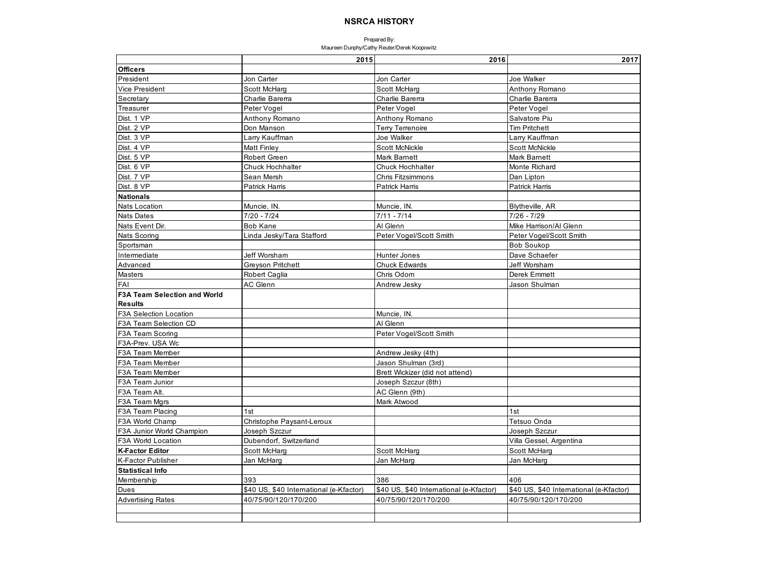|                                     | 2015                                    | 2016                                    | 2017                                    |
|-------------------------------------|-----------------------------------------|-----------------------------------------|-----------------------------------------|
| <b>Officers</b>                     |                                         |                                         |                                         |
| President                           | Jon Carter                              | Jon Carter                              | Joe Walker                              |
| <b>Vice President</b>               | Scott McHarg                            | Scott McHarg                            | Anthony Romano                          |
| Secretary                           | Charlie Barerra                         | Charlie Barerra                         | Charlie Barerra                         |
| Treasurer                           | Peter Vogel                             | Peter Vogel                             | Peter Vogel                             |
| Dist. 1 VP                          | Anthony Romano                          | Anthony Romano                          | Salvatore Piu                           |
| Dist. 2 VP                          | Don Manson                              | <b>Terry Terrenoire</b>                 | <b>Tim Pritchett</b>                    |
| Dist. 3 VP                          | Larry Kauffman                          | Joe Walker                              | Larry Kauffman                          |
| Dist. 4 VP                          | <b>Matt Finley</b>                      | <b>Scott McNickle</b>                   | <b>Scott McNickle</b>                   |
| Dist. 5 VP                          | <b>Robert Green</b>                     | <b>Mark Barnett</b>                     | <b>Mark Barnett</b>                     |
| Dist. 6 VP                          | <b>Chuck Hochhalter</b>                 | <b>Chuck Hochhalter</b>                 | Monte Richard                           |
| Dist. 7 VP                          | Sean Mersh                              | <b>Chris Fitzsimmons</b>                | Dan Lipton                              |
| Dist. 8 VP                          | <b>Patrick Harris</b>                   | <b>Patrick Harris</b>                   | <b>Patrick Harris</b>                   |
| <b>Nationals</b>                    |                                         |                                         |                                         |
| <b>Nats Location</b>                | Muncie, IN.                             | Muncie, IN.                             | Blytheville, AR                         |
| <b>Nats Dates</b>                   | $7/20 - 7/24$                           | $7/11 - 7/14$                           | $7/26 - 7/29$                           |
| Nats Event Dir.                     | <b>Bob Kane</b>                         | Al Glenn                                | Mike Harrison/Al Glenn                  |
| Nats Scoring                        | Linda Jesky/Tara Stafford               | Peter Vogel/Scott Smith                 | Peter Vogel/Scott Smith                 |
| Sportsman                           |                                         |                                         | <b>Bob Soukop</b>                       |
| Intermediate                        | Jeff Worsham                            | <b>Hunter Jones</b>                     | Dave Schaefer                           |
| Advanced                            | <b>Greyson Pritchett</b>                | <b>Chuck Edwards</b>                    | <b>Jeff Worsham</b>                     |
| Masters                             | Robert Caglia                           | Chris Odom                              | Derek Emmett                            |
| FAI                                 | AC Glenn                                | Andrew Jesky                            | Jason Shulman                           |
| <b>F3A Team Selection and World</b> |                                         |                                         |                                         |
| <b>Results</b>                      |                                         |                                         |                                         |
| F3A Selection Location              |                                         | Muncie, IN.                             |                                         |
| F3A Team Selection CD               |                                         | Al Glenn                                |                                         |
| <b>F3A Team Scoring</b>             |                                         | Peter Vogel/Scott Smith                 |                                         |
| F3A-Prev. USA Wc                    |                                         |                                         |                                         |
| F3A Team Member                     |                                         | Andrew Jesky (4th)                      |                                         |
| <b>F3A Team Member</b>              |                                         | Jason Shulman (3rd)                     |                                         |
| F3A Team Member                     |                                         | Brett Wickizer (did not attend)         |                                         |
| F3A Team Junior                     |                                         | Joseph Szczur (8th)                     |                                         |
| F3A Team Alt.                       |                                         | AC Glenn (9th)                          |                                         |
| F3A Team Mgrs                       |                                         | Mark Atwood                             |                                         |
| F3A Team Placing                    | 1 <sub>st</sub>                         |                                         | 1st                                     |
| F3A World Champ                     | Christophe Paysant-Leroux               |                                         | Tetsuo Onda                             |
| F3A Junior World Champion           | Joseph Szczur                           |                                         | Joseph Szczur                           |
| <b>F3A World Location</b>           | Dubendorf, Switzerland                  |                                         | Villa Gessel, Argentina                 |
| <b>K-Factor Editor</b>              | Scott McHarg                            | Scott McHarg                            | Scott McHarg                            |
| K-Factor Publisher                  | Jan McHarg                              | Jan McHarg                              | Jan McHarg                              |
| <b>Statistical Info</b>             |                                         |                                         |                                         |
| Membership                          | 393                                     | 386                                     | 406                                     |
| Dues                                | \$40 US, \$40 International (e-Kfactor) | \$40 US, \$40 International (e-Kfactor) | \$40 US, \$40 International (e-Kfactor) |
| <b>Advertising Rates</b>            | 40/75/90/120/170/200                    | 40/75/90/120/170/200                    | 40/75/90/120/170/200                    |
|                                     |                                         |                                         |                                         |
|                                     |                                         |                                         |                                         |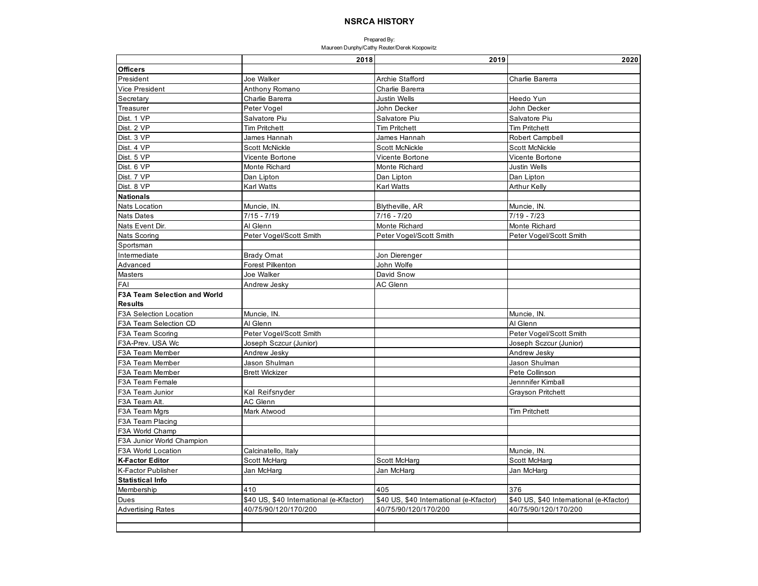|                                     | 2018                                    | 2019                                    | 2020                                    |
|-------------------------------------|-----------------------------------------|-----------------------------------------|-----------------------------------------|
| <b>Officers</b>                     |                                         |                                         |                                         |
| President                           | Joe Walker                              | Archie Stafford                         | Charlie Barerra                         |
| Vice President                      | Anthony Romano                          | Charlie Barerra                         |                                         |
| Secretary                           | Charlie Barerra                         | <b>Justin Wells</b>                     | Heedo Yun                               |
| Treasurer                           | Peter Vogel                             | John Decker                             | John Decker                             |
| Dist. 1 VP                          | Salvatore Piu                           | Salvatore Piu                           | Salvatore Piu                           |
| Dist. 2 VP                          | <b>Tim Pritchett</b>                    | <b>Tim Pritchett</b>                    | <b>Tim Pritchett</b>                    |
| Dist. 3 VP                          | James Hannah                            | James Hannah                            | <b>Robert Campbell</b>                  |
| Dist. 4 VP                          | Scott McNickle                          | Scott McNickle                          | <b>Scott McNickle</b>                   |
| Dist. 5 VP                          | Vicente Bortone                         | Vicente Bortone                         | Vicente Bortone                         |
| Dist. 6 VP                          | Monte Richard                           | Monte Richard                           | <b>Justin Wells</b>                     |
| Dist. 7 VP                          | Dan Lipton                              | Dan Lipton                              | Dan Lipton                              |
| Dist. 8 VP                          | Karl Watts                              | <b>Karl Watts</b>                       | <b>Arthur Kelly</b>                     |
| <b>Nationals</b>                    |                                         |                                         |                                         |
| <b>Nats Location</b>                | Muncie, IN.                             | Blytheville, AR                         | Muncie, IN.                             |
| <b>Nats Dates</b>                   | $7/15 - 7/19$                           | $7/16 - 7/20$                           | $7/19 - 7/23$                           |
| Nats Event Dir.                     | Al Glenn                                | Monte Richard                           | Monte Richard                           |
| <b>Nats Scoring</b>                 | Peter Vogel/Scott Smith                 | Peter Vogel/Scott Smith                 | Peter Vogel/Scott Smith                 |
| Sportsman                           |                                         |                                         |                                         |
| Intermediate                        | <b>Brady Omat</b>                       | Jon Dierenger                           |                                         |
| Advanced                            | Forest Pilkenton                        | John Wolfe                              |                                         |
| Masters                             | Joe Walker                              | David Snow                              |                                         |
| FAI                                 | Andrew Jesky                            | <b>AC Glenn</b>                         |                                         |
| <b>F3A Team Selection and World</b> |                                         |                                         |                                         |
| <b>Results</b>                      |                                         |                                         |                                         |
| F3A Selection Location              | Muncie, IN.                             |                                         | Muncie, IN.                             |
| F3A Team Selection CD               | Al Glenn                                |                                         | Al Glenn                                |
| F3A Team Scoring                    | Peter Vogel/Scott Smith                 |                                         | Peter Vogel/Scott Smith                 |
| F3A-Prev. USA Wc                    | Joseph Sczcur (Junior)                  |                                         | Joseph Sczcur (Junior)                  |
| F3A Team Member                     | Andrew Jesky                            |                                         | Andrew Jesky                            |
| <b>F3A Team Member</b>              | Jason Shulman                           |                                         | Jason Shulman                           |
| F3A Team Member                     | <b>Brett Wickizer</b>                   |                                         | Pete Collinson                          |
| F3A Team Female                     |                                         |                                         | Jennnifer Kimball                       |
| F3A Team Junior                     | Kal Reifsnyder                          |                                         | <b>Grayson Pritchett</b>                |
| F3A Team Alt.                       | AC Glenn                                |                                         |                                         |
| F3A Team Mgrs                       | Mark Atwood                             |                                         | <b>Tim Pritchett</b>                    |
| F3A Team Placing                    |                                         |                                         |                                         |
| F3A World Champ                     |                                         |                                         |                                         |
| F3A Junior World Champion           |                                         |                                         |                                         |
| F3A World Location                  | Calcinatello, Italy                     |                                         | Muncie, IN.                             |
| <b>K-Factor Editor</b>              | Scott McHarg                            | Scott McHarg                            | Scott McHarg                            |
| <b>K-Factor Publisher</b>           | Jan McHarg                              | Jan McHarg                              | Jan McHarg                              |
| <b>Statistical Info</b>             |                                         |                                         |                                         |
| Membership                          | 410                                     | 405                                     | 376                                     |
| Dues                                | \$40 US, \$40 International (e-Kfactor) | \$40 US, \$40 International (e-Kfactor) | \$40 US, \$40 International (e-Kfactor) |
| <b>Advertising Rates</b>            | 40/75/90/120/170/200                    | 40/75/90/120/170/200                    | 40/75/90/120/170/200                    |
|                                     |                                         |                                         |                                         |
|                                     |                                         |                                         |                                         |